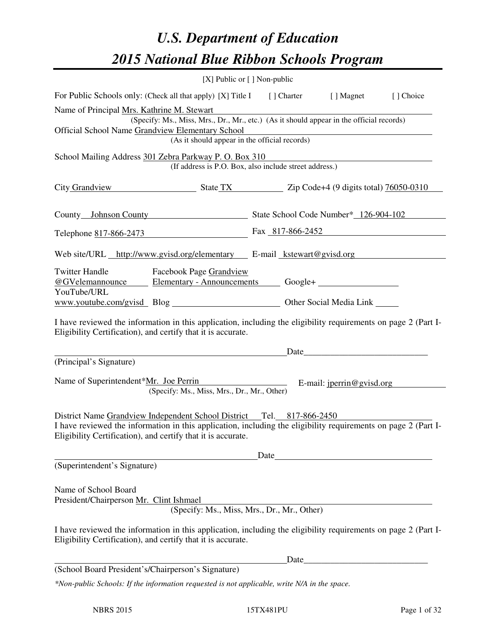# *U.S. Department of Education 2015 National Blue Ribbon Schools Program*

|                                                                                                                                                                                                                                                         | [X] Public or [] Non-public |                                                        |  |  |  |  |  |
|---------------------------------------------------------------------------------------------------------------------------------------------------------------------------------------------------------------------------------------------------------|-----------------------------|--------------------------------------------------------|--|--|--|--|--|
| For Public Schools only: (Check all that apply) [X] Title I [] Charter [] Magnet [] Choice                                                                                                                                                              |                             |                                                        |  |  |  |  |  |
| Name of Principal Mrs. Kathrine M. Stewart<br>(Specify: Ms., Miss, Mrs., Dr., Mr., etc.) (As it should appear in the official records)<br>Official School Name Grandview Elementary School                                                              |                             | (As it should appear in the official records)          |  |  |  |  |  |
| School Mailing Address 301 Zebra Parkway P. O. Box 310                                                                                                                                                                                                  |                             | (If address is P.O. Box, also include street address.) |  |  |  |  |  |
| City Grandview State TX Zip Code+4 (9 digits total) 76050-0310                                                                                                                                                                                          |                             |                                                        |  |  |  |  |  |
| County Johnson County State School Code Number* 126-904-102                                                                                                                                                                                             |                             |                                                        |  |  |  |  |  |
| Telephone 817-866-2473 Fax 817-866-2452                                                                                                                                                                                                                 |                             |                                                        |  |  |  |  |  |
| Web site/URL http://www.gyisd.org/elementary E-mail kstewart@gyisd.org                                                                                                                                                                                  |                             |                                                        |  |  |  |  |  |
| <b>Twitter Handle</b><br>Facebook Page Grandview<br>@GVelemannounce<br>YouTube/URL                                                                                                                                                                      |                             |                                                        |  |  |  |  |  |
| www.youtube.com/gvisd Blog Discount Control Other Social Media Link                                                                                                                                                                                     |                             |                                                        |  |  |  |  |  |
| I have reviewed the information in this application, including the eligibility requirements on page 2 (Part I-<br>Eligibility Certification), and certify that it is accurate.                                                                          |                             |                                                        |  |  |  |  |  |
|                                                                                                                                                                                                                                                         |                             |                                                        |  |  |  |  |  |
| (Principal's Signature)<br>Name of Superintendent*Mr. Joe Perrin<br>E-mail: jperrin@gvisd.org<br>(Specify: Ms., Miss, Mrs., Dr., Mr., Other)                                                                                                            |                             |                                                        |  |  |  |  |  |
| District Name Grandview Independent School District Tel. 817-866-2450<br>I have reviewed the information in this application, including the eligibility requirements on page 2 (Part I-<br>Eligibility Certification), and certify that it is accurate. |                             |                                                        |  |  |  |  |  |
|                                                                                                                                                                                                                                                         |                             | Date                                                   |  |  |  |  |  |
| (Superintendent's Signature)                                                                                                                                                                                                                            |                             |                                                        |  |  |  |  |  |
| Name of School Board<br>President/Chairperson Mr. Clint Ishmael                                                                                                                                                                                         |                             | (Specify: Ms., Miss, Mrs., Dr., Mr., Other)            |  |  |  |  |  |
| I have reviewed the information in this application, including the eligibility requirements on page 2 (Part I-<br>Eligibility Certification), and certify that it is accurate.                                                                          |                             |                                                        |  |  |  |  |  |
|                                                                                                                                                                                                                                                         |                             | Date_                                                  |  |  |  |  |  |
| (School Board President's/Chairperson's Signature)                                                                                                                                                                                                      |                             |                                                        |  |  |  |  |  |
| *Non-public Schools: If the information requested is not applicable, write N/A in the space.                                                                                                                                                            |                             |                                                        |  |  |  |  |  |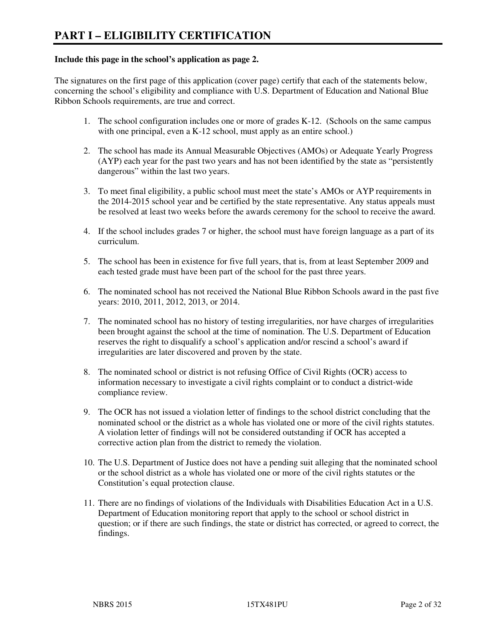#### **Include this page in the school's application as page 2.**

The signatures on the first page of this application (cover page) certify that each of the statements below, concerning the school's eligibility and compliance with U.S. Department of Education and National Blue Ribbon Schools requirements, are true and correct.

- 1. The school configuration includes one or more of grades K-12. (Schools on the same campus with one principal, even a K-12 school, must apply as an entire school.)
- 2. The school has made its Annual Measurable Objectives (AMOs) or Adequate Yearly Progress (AYP) each year for the past two years and has not been identified by the state as "persistently dangerous" within the last two years.
- 3. To meet final eligibility, a public school must meet the state's AMOs or AYP requirements in the 2014-2015 school year and be certified by the state representative. Any status appeals must be resolved at least two weeks before the awards ceremony for the school to receive the award.
- 4. If the school includes grades 7 or higher, the school must have foreign language as a part of its curriculum.
- 5. The school has been in existence for five full years, that is, from at least September 2009 and each tested grade must have been part of the school for the past three years.
- 6. The nominated school has not received the National Blue Ribbon Schools award in the past five years: 2010, 2011, 2012, 2013, or 2014.
- 7. The nominated school has no history of testing irregularities, nor have charges of irregularities been brought against the school at the time of nomination. The U.S. Department of Education reserves the right to disqualify a school's application and/or rescind a school's award if irregularities are later discovered and proven by the state.
- 8. The nominated school or district is not refusing Office of Civil Rights (OCR) access to information necessary to investigate a civil rights complaint or to conduct a district-wide compliance review.
- 9. The OCR has not issued a violation letter of findings to the school district concluding that the nominated school or the district as a whole has violated one or more of the civil rights statutes. A violation letter of findings will not be considered outstanding if OCR has accepted a corrective action plan from the district to remedy the violation.
- 10. The U.S. Department of Justice does not have a pending suit alleging that the nominated school or the school district as a whole has violated one or more of the civil rights statutes or the Constitution's equal protection clause.
- 11. There are no findings of violations of the Individuals with Disabilities Education Act in a U.S. Department of Education monitoring report that apply to the school or school district in question; or if there are such findings, the state or district has corrected, or agreed to correct, the findings.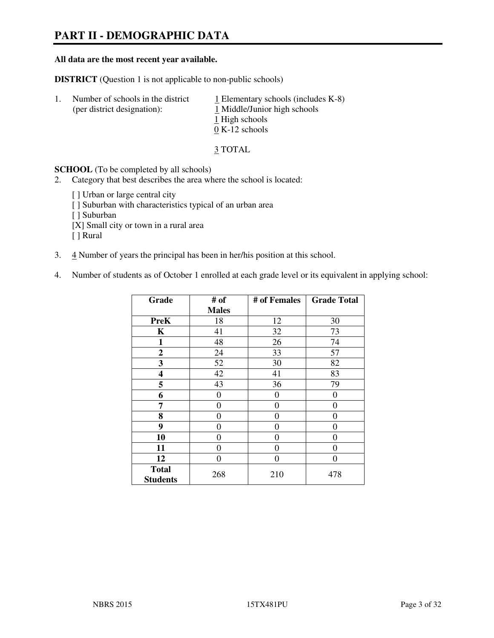# **PART II - DEMOGRAPHIC DATA**

#### **All data are the most recent year available.**

**DISTRICT** (Question 1 is not applicable to non-public schools)

| $\perp$ | Number of schools in the district<br>(per district designation): | $\perp$ Elementary schools (includes K-8)<br>1 Middle/Junior high schools<br>1 High schools<br>$0 K-12$ schools |
|---------|------------------------------------------------------------------|-----------------------------------------------------------------------------------------------------------------|
|         |                                                                  |                                                                                                                 |

3 TOTAL

**SCHOOL** (To be completed by all schools)

2. Category that best describes the area where the school is located:

[] Urban or large central city [ ] Suburban with characteristics typical of an urban area [ ] Suburban [X] Small city or town in a rural area [ ] Rural

- 3. 4 Number of years the principal has been in her/his position at this school.
- 4. Number of students as of October 1 enrolled at each grade level or its equivalent in applying school:

| Grade                           | # of         | # of Females   | <b>Grade Total</b> |
|---------------------------------|--------------|----------------|--------------------|
|                                 | <b>Males</b> |                |                    |
| <b>PreK</b>                     | 18           | 12             | 30                 |
| K                               | 41           | 32             | 73                 |
| 1                               | 48           | 26             | 74                 |
| $\boldsymbol{2}$                | 24           | 33             | 57                 |
| 3                               | 52           | 30             | 82                 |
| 4                               | 42           | 41             | 83                 |
| 5                               | 43           | 36             | 79                 |
| 6                               | 0            | $\theta$       | 0                  |
| 7                               | $\theta$     | $\overline{0}$ | 0                  |
| 8                               | 0            | 0              | 0                  |
| 9                               | $\theta$     | $\overline{0}$ | 0                  |
| 10                              | 0            | 0              | 0                  |
| 11                              | 0            | 0              | 0                  |
| 12                              | 0            | 0              | 0                  |
| <b>Total</b><br><b>Students</b> | 268          | 210            | 478                |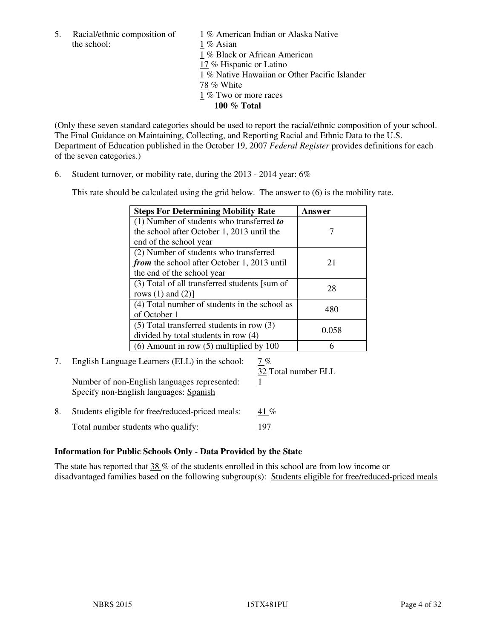the school: 1 % Asian

5. Racial/ethnic composition of  $1\%$  American Indian or Alaska Native 1 % Black or African American 17 % Hispanic or Latino 1 % Native Hawaiian or Other Pacific Islander 78 % White 1 % Two or more races **100 % Total** 

(Only these seven standard categories should be used to report the racial/ethnic composition of your school. The Final Guidance on Maintaining, Collecting, and Reporting Racial and Ethnic Data to the U.S. Department of Education published in the October 19, 2007 *Federal Register* provides definitions for each of the seven categories.)

6. Student turnover, or mobility rate, during the 2013 - 2014 year: 6%

This rate should be calculated using the grid below. The answer to (6) is the mobility rate.

| <b>Steps For Determining Mobility Rate</b>         | Answer |
|----------------------------------------------------|--------|
| $(1)$ Number of students who transferred to        |        |
| the school after October 1, 2013 until the         |        |
| end of the school year                             |        |
| (2) Number of students who transferred             |        |
| <i>from</i> the school after October 1, 2013 until | 21     |
| the end of the school year                         |        |
| (3) Total of all transferred students [sum of      | 28     |
| rows $(1)$ and $(2)$ ]                             |        |
| (4) Total number of students in the school as      | 480    |
| of October 1                                       |        |
| $(5)$ Total transferred students in row $(3)$      | 0.058  |
| divided by total students in row (4)               |        |
| $(6)$ Amount in row $(5)$ multiplied by 100        |        |

# 7. English Language Learners (ELL) in the school: 7 %

Number of non-English languages represented: 1 Specify non-English languages: Spanish

32 Total number ELL

8. Students eligible for free/reduced-priced meals:  $41\%$ Total number students who qualify: 197

## **Information for Public Schools Only - Data Provided by the State**

The state has reported that 38 % of the students enrolled in this school are from low income or disadvantaged families based on the following subgroup(s): Students eligible for free/reduced-priced meals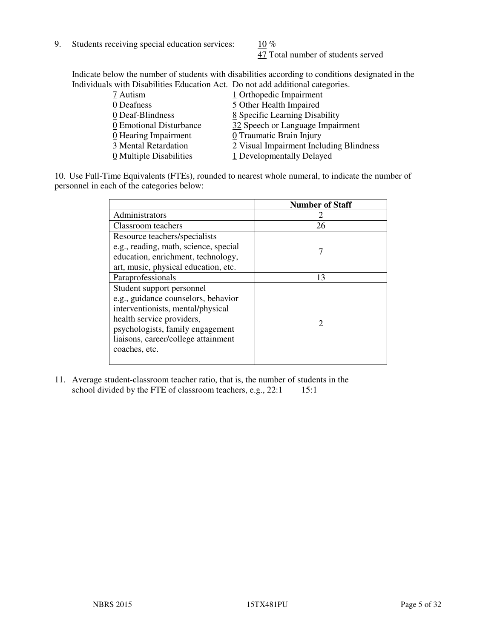9. Students receiving special education services:  $10\%$ 

47 Total number of students served

Indicate below the number of students with disabilities according to conditions designated in the Individuals with Disabilities Education Act. Do not add additional categories.

| 7 Autism                           | 1 Orthopedic Impairment                 |
|------------------------------------|-----------------------------------------|
| 0 Deafness                         | 5 Other Health Impaired                 |
| 0 Deaf-Blindness                   | 8 Specific Learning Disability          |
| 0 Emotional Disturbance            | 32 Speech or Language Impairment        |
| $\underline{0}$ Hearing Impairment | 0 Traumatic Brain Injury                |
| 3 Mental Retardation               | 2 Visual Impairment Including Blindness |
| 0 Multiple Disabilities            | 1 Developmentally Delayed               |
|                                    |                                         |

10. Use Full-Time Equivalents (FTEs), rounded to nearest whole numeral, to indicate the number of personnel in each of the categories below:

|                                       | <b>Number of Staff</b>      |
|---------------------------------------|-----------------------------|
| Administrators                        |                             |
| Classroom teachers                    | 26                          |
| Resource teachers/specialists         |                             |
| e.g., reading, math, science, special |                             |
| education, enrichment, technology,    |                             |
| art, music, physical education, etc.  |                             |
| Paraprofessionals                     | 13                          |
| Student support personnel             |                             |
| e.g., guidance counselors, behavior   |                             |
| interventionists, mental/physical     |                             |
| health service providers,             | $\mathcal{D}_{\mathcal{L}}$ |
| psychologists, family engagement      |                             |
| liaisons, career/college attainment   |                             |
| coaches, etc.                         |                             |
|                                       |                             |

11. Average student-classroom teacher ratio, that is, the number of students in the school divided by the FTE of classroom teachers, e.g.,  $22:1$  15:1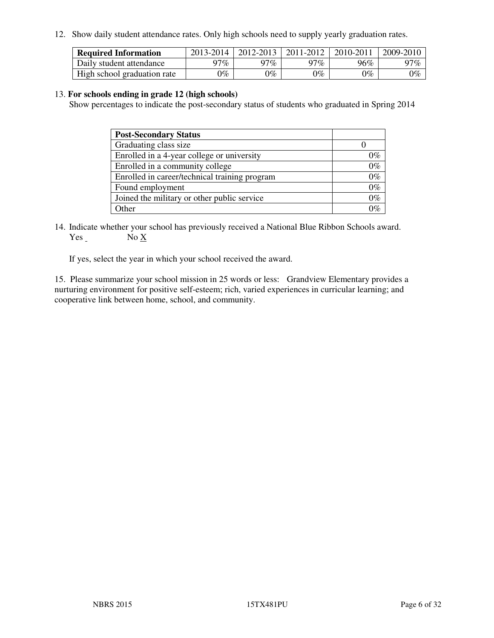12. Show daily student attendance rates. Only high schools need to supply yearly graduation rates.

| <b>Required Information</b> | 2013-2014 | 2012-2013 | 2011-2012 | 2010-2011 | 2009-2010 |
|-----------------------------|-----------|-----------|-----------|-----------|-----------|
| Daily student attendance    | າ $7\%$   | 97%       | 97%       | 96%       | 97%       |
| High school graduation rate | 9%        | $0\%$     | $0\%$     | 0%        | $0\%$     |

#### 13. **For schools ending in grade 12 (high schools)**

Show percentages to indicate the post-secondary status of students who graduated in Spring 2014

| <b>Post-Secondary Status</b>                  |       |
|-----------------------------------------------|-------|
| Graduating class size                         |       |
| Enrolled in a 4-year college or university    | በ‰    |
| Enrolled in a community college               | $0\%$ |
| Enrolled in career/technical training program | $0\%$ |
| Found employment                              | $0\%$ |
| Joined the military or other public service   | 0%    |
| Other                                         |       |

14. Indicate whether your school has previously received a National Blue Ribbon Schools award. Yes No X

If yes, select the year in which your school received the award.

15. Please summarize your school mission in 25 words or less: Grandview Elementary provides a nurturing environment for positive self-esteem; rich, varied experiences in curricular learning; and cooperative link between home, school, and community.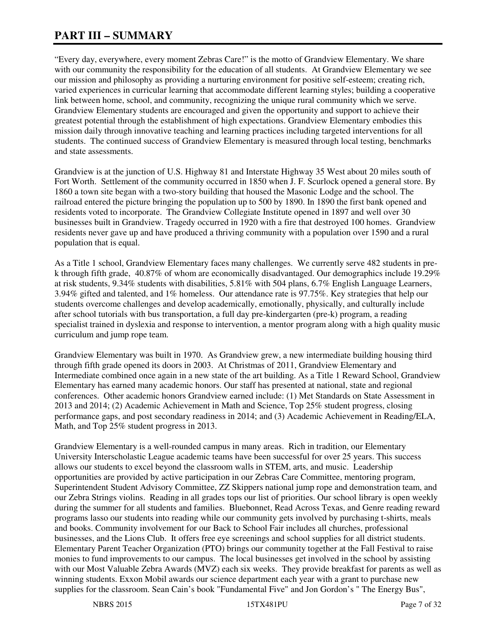# **PART III – SUMMARY**

"Every day, everywhere, every moment Zebras Care!" is the motto of Grandview Elementary. We share with our community the responsibility for the education of all students. At Grandview Elementary we see our mission and philosophy as providing a nurturing environment for positive self-esteem; creating rich, varied experiences in curricular learning that accommodate different learning styles; building a cooperative link between home, school, and community, recognizing the unique rural community which we serve. Grandview Elementary students are encouraged and given the opportunity and support to achieve their greatest potential through the establishment of high expectations. Grandview Elementary embodies this mission daily through innovative teaching and learning practices including targeted interventions for all students. The continued success of Grandview Elementary is measured through local testing, benchmarks and state assessments.

Grandview is at the junction of U.S. Highway 81 and Interstate Highway 35 West about 20 miles south of Fort Worth. Settlement of the community occurred in 1850 when J. F. Scurlock opened a general store. By 1860 a town site began with a two-story building that housed the Masonic Lodge and the school. The railroad entered the picture bringing the population up to 500 by 1890. In 1890 the first bank opened and residents voted to incorporate. The Grandview Collegiate Institute opened in 1897 and well over 30 businesses built in Grandview. Tragedy occurred in 1920 with a fire that destroyed 100 homes. Grandview residents never gave up and have produced a thriving community with a population over 1590 and a rural population that is equal.

As a Title 1 school, Grandview Elementary faces many challenges. We currently serve 482 students in prek through fifth grade,  $40.87\%$  of whom are economically disadvantaged. Our demographics include 19.29% at risk students, 9.34% students with disabilities, 5.81% with 504 plans, 6.7% English Language Learners, 3.94% gifted and talented, and 1% homeless. Our attendance rate is 97.75%. Key strategies that help our students overcome challenges and develop academically, emotionally, physically, and culturally include after school tutorials with bus transportation, a full day pre-kindergarten (pre-k) program, a reading specialist trained in dyslexia and response to intervention, a mentor program along with a high quality music curriculum and jump rope team.

Grandview Elementary was built in 1970. As Grandview grew, a new intermediate building housing third through fifth grade opened its doors in 2003. At Christmas of 2011, Grandview Elementary and Intermediate combined once again in a new state of the art building. As a Title 1 Reward School, Grandview Elementary has earned many academic honors. Our staff has presented at national, state and regional conferences. Other academic honors Grandview earned include: (1) Met Standards on State Assessment in 2013 and 2014; (2) Academic Achievement in Math and Science, Top 25% student progress, closing performance gaps, and post secondary readiness in 2014; and (3) Academic Achievement in Reading/ELA, Math, and Top 25% student progress in 2013.

Grandview Elementary is a well-rounded campus in many areas. Rich in tradition, our Elementary University Interscholastic League academic teams have been successful for over 25 years. This success allows our students to excel beyond the classroom walls in STEM, arts, and music. Leadership opportunities are provided by active participation in our Zebras Care Committee, mentoring program, Superintendent Student Advisory Committee, ZZ Skippers national jump rope and demonstration team, and our Zebra Strings violins. Reading in all grades tops our list of priorities. Our school library is open weekly during the summer for all students and families. Bluebonnet, Read Across Texas, and Genre reading reward programs lasso our students into reading while our community gets involved by purchasing t-shirts, meals and books. Community involvement for our Back to School Fair includes all churches, professional businesses, and the Lions Club. It offers free eye screenings and school supplies for all district students. Elementary Parent Teacher Organization (PTO) brings our community together at the Fall Festival to raise monies to fund improvements to our campus. The local businesses get involved in the school by assisting with our Most Valuable Zebra Awards (MVZ) each six weeks. They provide breakfast for parents as well as winning students. Exxon Mobil awards our science department each year with a grant to purchase new supplies for the classroom. Sean Cain's book "Fundamental Five" and Jon Gordon's " The Energy Bus",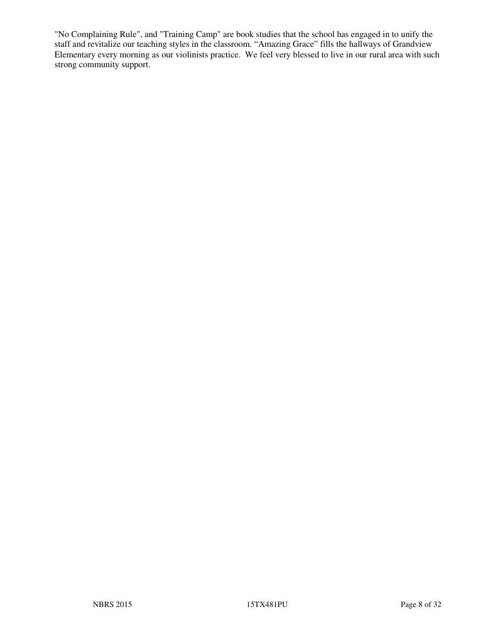"No Complaining Rule", and "Training Camp" are book studies that the school has engaged in to unify the staff and revitalize our teaching styles in the classroom. "Amazing Grace" fills the hallways of Grandview Elementary every morning as our violinists practice. We feel very blessed to live in our rural area with such strong community support.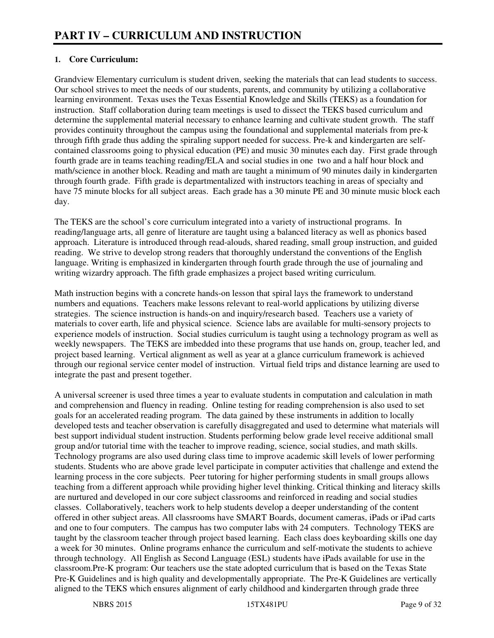## **1. Core Curriculum:**

Grandview Elementary curriculum is student driven, seeking the materials that can lead students to success. Our school strives to meet the needs of our students, parents, and community by utilizing a collaborative learning environment. Texas uses the Texas Essential Knowledge and Skills (TEKS) as a foundation for instruction. Staff collaboration during team meetings is used to dissect the TEKS based curriculum and determine the supplemental material necessary to enhance learning and cultivate student growth. The staff provides continuity throughout the campus using the foundational and supplemental materials from pre-k through fifth grade thus adding the spiraling support needed for success. Pre-k and kindergarten are selfcontained classrooms going to physical education (PE) and music 30 minutes each day. First grade through fourth grade are in teams teaching reading/ELA and social studies in one two and a half hour block and math/science in another block. Reading and math are taught a minimum of 90 minutes daily in kindergarten through fourth grade. Fifth grade is departmentalized with instructors teaching in areas of specialty and have 75 minute blocks for all subject areas. Each grade has a 30 minute PE and 30 minute music block each day.

The TEKS are the school's core curriculum integrated into a variety of instructional programs. In reading/language arts, all genre of literature are taught using a balanced literacy as well as phonics based approach. Literature is introduced through read-alouds, shared reading, small group instruction, and guided reading. We strive to develop strong readers that thoroughly understand the conventions of the English language. Writing is emphasized in kindergarten through fourth grade through the use of journaling and writing wizardry approach. The fifth grade emphasizes a project based writing curriculum.

Math instruction begins with a concrete hands-on lesson that spiral lays the framework to understand numbers and equations. Teachers make lessons relevant to real-world applications by utilizing diverse strategies. The science instruction is hands-on and inquiry/research based. Teachers use a variety of materials to cover earth, life and physical science. Science labs are available for multi-sensory projects to experience models of instruction. Social studies curriculum is taught using a technology program as well as weekly newspapers. The TEKS are imbedded into these programs that use hands on, group, teacher led, and project based learning. Vertical alignment as well as year at a glance curriculum framework is achieved through our regional service center model of instruction. Virtual field trips and distance learning are used to integrate the past and present together.

A universal screener is used three times a year to evaluate students in computation and calculation in math and comprehension and fluency in reading. Online testing for reading comprehension is also used to set goals for an accelerated reading program. The data gained by these instruments in addition to locally developed tests and teacher observation is carefully disaggregated and used to determine what materials will best support individual student instruction. Students performing below grade level receive additional small group and/or tutorial time with the teacher to improve reading, science, social studies, and math skills. Technology programs are also used during class time to improve academic skill levels of lower performing students. Students who are above grade level participate in computer activities that challenge and extend the learning process in the core subjects. Peer tutoring for higher performing students in small groups allows teaching from a different approach while providing higher level thinking. Critical thinking and literacy skills are nurtured and developed in our core subject classrooms and reinforced in reading and social studies classes. Collaboratively, teachers work to help students develop a deeper understanding of the content offered in other subject areas. All classrooms have SMART Boards, document cameras, iPads or iPad carts and one to four computers. The campus has two computer labs with 24 computers. Technology TEKS are taught by the classroom teacher through project based learning. Each class does keyboarding skills one day a week for 30 minutes. Online programs enhance the curriculum and self-motivate the students to achieve through technology. All English as Second Language (ESL) students have iPads available for use in the classroom.Pre-K program: Our teachers use the state adopted curriculum that is based on the Texas State Pre-K Guidelines and is high quality and developmentally appropriate. The Pre-K Guidelines are vertically aligned to the TEKS which ensures alignment of early childhood and kindergarten through grade three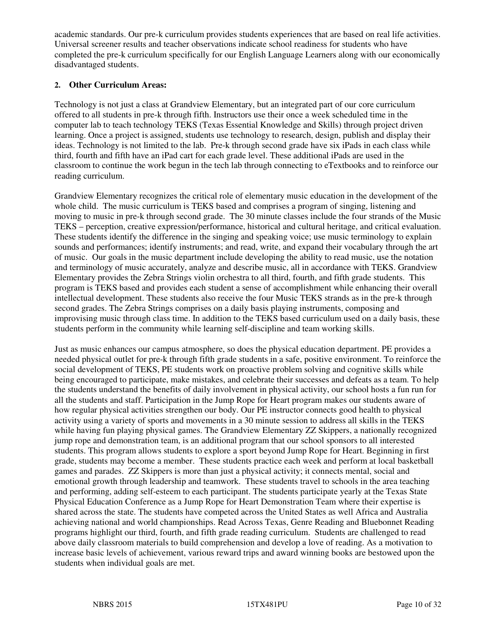academic standards. Our pre-k curriculum provides students experiences that are based on real life activities. Universal screener results and teacher observations indicate school readiness for students who have completed the pre-k curriculum specifically for our English Language Learners along with our economically disadvantaged students.

#### **2. Other Curriculum Areas:**

Technology is not just a class at Grandview Elementary, but an integrated part of our core curriculum offered to all students in pre-k through fifth. Instructors use their once a week scheduled time in the computer lab to teach technology TEKS (Texas Essential Knowledge and Skills) through project driven learning. Once a project is assigned, students use technology to research, design, publish and display their ideas. Technology is not limited to the lab. Pre-k through second grade have six iPads in each class while third, fourth and fifth have an iPad cart for each grade level. These additional iPads are used in the classroom to continue the work begun in the tech lab through connecting to eTextbooks and to reinforce our reading curriculum.

Grandview Elementary recognizes the critical role of elementary music education in the development of the whole child. The music curriculum is TEKS based and comprises a program of singing, listening and moving to music in pre-k through second grade. The 30 minute classes include the four strands of the Music TEKS – perception, creative expression/performance, historical and cultural heritage, and critical evaluation. These students identify the difference in the singing and speaking voice; use music terminology to explain sounds and performances; identify instruments; and read, write, and expand their vocabulary through the art of music. Our goals in the music department include developing the ability to read music, use the notation and terminology of music accurately, analyze and describe music, all in accordance with TEKS. Grandview Elementary provides the Zebra Strings violin orchestra to all third, fourth, and fifth grade students. This program is TEKS based and provides each student a sense of accomplishment while enhancing their overall intellectual development. These students also receive the four Music TEKS strands as in the pre-k through second grades. The Zebra Strings comprises on a daily basis playing instruments, composing and improvising music through class time. In addition to the TEKS based curriculum used on a daily basis, these students perform in the community while learning self-discipline and team working skills.

Just as music enhances our campus atmosphere, so does the physical education department. PE provides a needed physical outlet for pre-k through fifth grade students in a safe, positive environment. To reinforce the social development of TEKS, PE students work on proactive problem solving and cognitive skills while being encouraged to participate, make mistakes, and celebrate their successes and defeats as a team. To help the students understand the benefits of daily involvement in physical activity, our school hosts a fun run for all the students and staff. Participation in the Jump Rope for Heart program makes our students aware of how regular physical activities strengthen our body. Our PE instructor connects good health to physical activity using a variety of sports and movements in a 30 minute session to address all skills in the TEKS while having fun playing physical games. The Grandview Elementary ZZ Skippers, a nationally recognized jump rope and demonstration team, is an additional program that our school sponsors to all interested students. This program allows students to explore a sport beyond Jump Rope for Heart. Beginning in first grade, students may become a member. These students practice each week and perform at local basketball games and parades. ZZ Skippers is more than just a physical activity; it connects mental, social and emotional growth through leadership and teamwork. These students travel to schools in the area teaching and performing, adding self-esteem to each participant. The students participate yearly at the Texas State Physical Education Conference as a Jump Rope for Heart Demonstration Team where their expertise is shared across the state. The students have competed across the United States as well Africa and Australia achieving national and world championships. Read Across Texas, Genre Reading and Bluebonnet Reading programs highlight our third, fourth, and fifth grade reading curriculum. Students are challenged to read above daily classroom materials to build comprehension and develop a love of reading. As a motivation to increase basic levels of achievement, various reward trips and award winning books are bestowed upon the students when individual goals are met.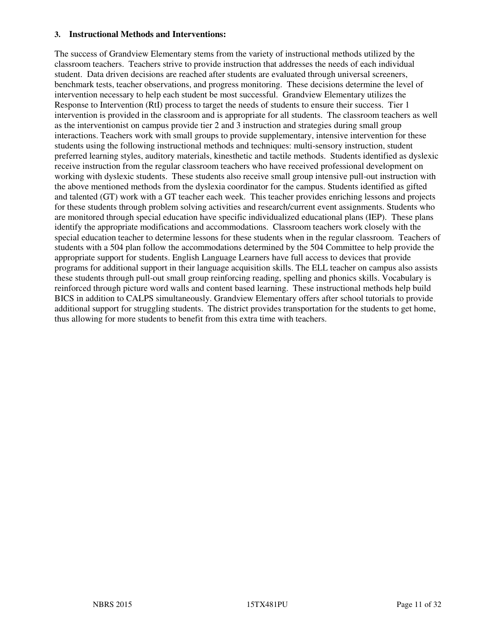#### **3. Instructional Methods and Interventions:**

The success of Grandview Elementary stems from the variety of instructional methods utilized by the classroom teachers. Teachers strive to provide instruction that addresses the needs of each individual student. Data driven decisions are reached after students are evaluated through universal screeners, benchmark tests, teacher observations, and progress monitoring. These decisions determine the level of intervention necessary to help each student be most successful. Grandview Elementary utilizes the Response to Intervention (RtI) process to target the needs of students to ensure their success. Tier 1 intervention is provided in the classroom and is appropriate for all students. The classroom teachers as well as the interventionist on campus provide tier 2 and 3 instruction and strategies during small group interactions. Teachers work with small groups to provide supplementary, intensive intervention for these students using the following instructional methods and techniques: multi-sensory instruction, student preferred learning styles, auditory materials, kinesthetic and tactile methods. Students identified as dyslexic receive instruction from the regular classroom teachers who have received professional development on working with dyslexic students. These students also receive small group intensive pull-out instruction with the above mentioned methods from the dyslexia coordinator for the campus. Students identified as gifted and talented (GT) work with a GT teacher each week. This teacher provides enriching lessons and projects for these students through problem solving activities and research/current event assignments. Students who are monitored through special education have specific individualized educational plans (IEP). These plans identify the appropriate modifications and accommodations. Classroom teachers work closely with the special education teacher to determine lessons for these students when in the regular classroom. Teachers of students with a 504 plan follow the accommodations determined by the 504 Committee to help provide the appropriate support for students. English Language Learners have full access to devices that provide programs for additional support in their language acquisition skills. The ELL teacher on campus also assists these students through pull-out small group reinforcing reading, spelling and phonics skills. Vocabulary is reinforced through picture word walls and content based learning. These instructional methods help build BICS in addition to CALPS simultaneously. Grandview Elementary offers after school tutorials to provide additional support for struggling students. The district provides transportation for the students to get home, thus allowing for more students to benefit from this extra time with teachers.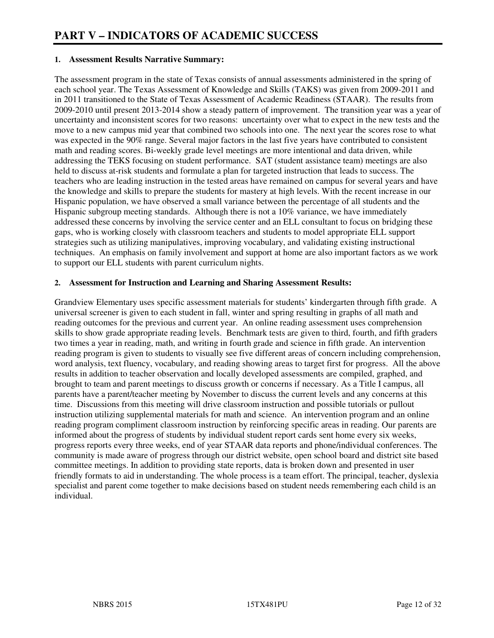#### **1. Assessment Results Narrative Summary:**

The assessment program in the state of Texas consists of annual assessments administered in the spring of each school year. The Texas Assessment of Knowledge and Skills (TAKS) was given from 2009-2011 and in 2011 transitioned to the State of Texas Assessment of Academic Readiness (STAAR). The results from 2009-2010 until present 2013-2014 show a steady pattern of improvement. The transition year was a year of uncertainty and inconsistent scores for two reasons: uncertainty over what to expect in the new tests and the move to a new campus mid year that combined two schools into one. The next year the scores rose to what was expected in the 90% range. Several major factors in the last five years have contributed to consistent math and reading scores. Bi-weekly grade level meetings are more intentional and data driven, while addressing the TEKS focusing on student performance. SAT (student assistance team) meetings are also held to discuss at-risk students and formulate a plan for targeted instruction that leads to success. The teachers who are leading instruction in the tested areas have remained on campus for several years and have the knowledge and skills to prepare the students for mastery at high levels. With the recent increase in our Hispanic population, we have observed a small variance between the percentage of all students and the Hispanic subgroup meeting standards. Although there is not a 10% variance, we have immediately addressed these concerns by involving the service center and an ELL consultant to focus on bridging these gaps, who is working closely with classroom teachers and students to model appropriate ELL support strategies such as utilizing manipulatives, improving vocabulary, and validating existing instructional techniques. An emphasis on family involvement and support at home are also important factors as we work to support our ELL students with parent curriculum nights.

#### **2. Assessment for Instruction and Learning and Sharing Assessment Results:**

Grandview Elementary uses specific assessment materials for students' kindergarten through fifth grade. A universal screener is given to each student in fall, winter and spring resulting in graphs of all math and reading outcomes for the previous and current year. An online reading assessment uses comprehension skills to show grade appropriate reading levels. Benchmark tests are given to third, fourth, and fifth graders two times a year in reading, math, and writing in fourth grade and science in fifth grade. An intervention reading program is given to students to visually see five different areas of concern including comprehension, word analysis, text fluency, vocabulary, and reading showing areas to target first for progress. All the above results in addition to teacher observation and locally developed assessments are compiled, graphed, and brought to team and parent meetings to discuss growth or concerns if necessary. As a Title I campus, all parents have a parent/teacher meeting by November to discuss the current levels and any concerns at this time. Discussions from this meeting will drive classroom instruction and possible tutorials or pullout instruction utilizing supplemental materials for math and science. An intervention program and an online reading program compliment classroom instruction by reinforcing specific areas in reading. Our parents are informed about the progress of students by individual student report cards sent home every six weeks, progress reports every three weeks, end of year STAAR data reports and phone/individual conferences. The community is made aware of progress through our district website, open school board and district site based committee meetings. In addition to providing state reports, data is broken down and presented in user friendly formats to aid in understanding. The whole process is a team effort. The principal, teacher, dyslexia specialist and parent come together to make decisions based on student needs remembering each child is an individual.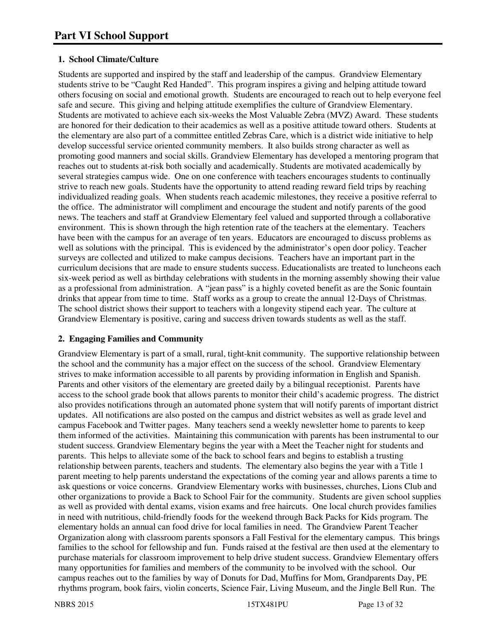#### **1. School Climate/Culture**

Students are supported and inspired by the staff and leadership of the campus. Grandview Elementary students strive to be "Caught Red Handed". This program inspires a giving and helping attitude toward others focusing on social and emotional growth. Students are encouraged to reach out to help everyone feel safe and secure. This giving and helping attitude exemplifies the culture of Grandview Elementary. Students are motivated to achieve each six-weeks the Most Valuable Zebra (MVZ) Award. These students are honored for their dedication to their academics as well as a positive attitude toward others. Students at the elementary are also part of a committee entitled Zebras Care, which is a district wide initiative to help develop successful service oriented community members. It also builds strong character as well as promoting good manners and social skills. Grandview Elementary has developed a mentoring program that reaches out to students at-risk both socially and academically. Students are motivated academically by several strategies campus wide. One on one conference with teachers encourages students to continually strive to reach new goals. Students have the opportunity to attend reading reward field trips by reaching individualized reading goals. When students reach academic milestones, they receive a positive referral to the office. The administrator will compliment and encourage the student and notify parents of the good news. The teachers and staff at Grandview Elementary feel valued and supported through a collaborative environment. This is shown through the high retention rate of the teachers at the elementary. Teachers have been with the campus for an average of ten years. Educators are encouraged to discuss problems as well as solutions with the principal. This is evidenced by the administrator's open door policy. Teacher surveys are collected and utilized to make campus decisions. Teachers have an important part in the curriculum decisions that are made to ensure students success. Educationalists are treated to luncheons each six-week period as well as birthday celebrations with students in the morning assembly showing their value as a professional from administration. A "jean pass" is a highly coveted benefit as are the Sonic fountain drinks that appear from time to time. Staff works as a group to create the annual 12-Days of Christmas. The school district shows their support to teachers with a longevity stipend each year. The culture at Grandview Elementary is positive, caring and success driven towards students as well as the staff.

#### **2. Engaging Families and Community**

Grandview Elementary is part of a small, rural, tight-knit community. The supportive relationship between the school and the community has a major effect on the success of the school. Grandview Elementary strives to make information accessible to all parents by providing information in English and Spanish. Parents and other visitors of the elementary are greeted daily by a bilingual receptionist. Parents have access to the school grade book that allows parents to monitor their child's academic progress. The district also provides notifications through an automated phone system that will notify parents of important district updates. All notifications are also posted on the campus and district websites as well as grade level and campus Facebook and Twitter pages. Many teachers send a weekly newsletter home to parents to keep them informed of the activities. Maintaining this communication with parents has been instrumental to our student success. Grandview Elementary begins the year with a Meet the Teacher night for students and parents. This helps to alleviate some of the back to school fears and begins to establish a trusting relationship between parents, teachers and students. The elementary also begins the year with a Title 1 parent meeting to help parents understand the expectations of the coming year and allows parents a time to ask questions or voice concerns. Grandview Elementary works with businesses, churches, Lions Club and other organizations to provide a Back to School Fair for the community. Students are given school supplies as well as provided with dental exams, vision exams and free haircuts. One local church provides families in need with nutritious, child-friendly foods for the weekend through Back Packs for Kids program. The elementary holds an annual can food drive for local families in need. The Grandview Parent Teacher Organization along with classroom parents sponsors a Fall Festival for the elementary campus. This brings families to the school for fellowship and fun. Funds raised at the festival are then used at the elementary to purchase materials for classroom improvement to help drive student success. Grandview Elementary offers many opportunities for families and members of the community to be involved with the school. Our campus reaches out to the families by way of Donuts for Dad, Muffins for Mom, Grandparents Day, PE rhythms program, book fairs, violin concerts, Science Fair, Living Museum, and the Jingle Bell Run. The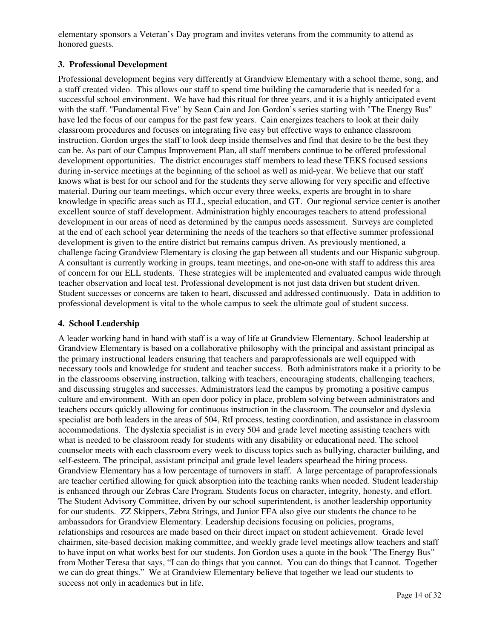elementary sponsors a Veteran's Day program and invites veterans from the community to attend as honored guests.

#### **3. Professional Development**

Professional development begins very differently at Grandview Elementary with a school theme, song, and a staff created video. This allows our staff to spend time building the camaraderie that is needed for a successful school environment. We have had this ritual for three years, and it is a highly anticipated event with the staff. "Fundamental Five" by Sean Cain and Jon Gordon's series starting with "The Energy Bus" have led the focus of our campus for the past few years. Cain energizes teachers to look at their daily classroom procedures and focuses on integrating five easy but effective ways to enhance classroom instruction. Gordon urges the staff to look deep inside themselves and find that desire to be the best they can be. As part of our Campus Improvement Plan, all staff members continue to be offered professional development opportunities. The district encourages staff members to lead these TEKS focused sessions during in-service meetings at the beginning of the school as well as mid-year. We believe that our staff knows what is best for our school and for the students they serve allowing for very specific and effective material. During our team meetings, which occur every three weeks, experts are brought in to share knowledge in specific areas such as ELL, special education, and GT. Our regional service center is another excellent source of staff development. Administration highly encourages teachers to attend professional development in our areas of need as determined by the campus needs assessment. Surveys are completed at the end of each school year determining the needs of the teachers so that effective summer professional development is given to the entire district but remains campus driven. As previously mentioned, a challenge facing Grandview Elementary is closing the gap between all students and our Hispanic subgroup. A consultant is currently working in groups, team meetings, and one-on-one with staff to address this area of concern for our ELL students. These strategies will be implemented and evaluated campus wide through teacher observation and local test. Professional development is not just data driven but student driven. Student successes or concerns are taken to heart, discussed and addressed continuously. Data in addition to professional development is vital to the whole campus to seek the ultimate goal of student success.

#### **4. School Leadership**

A leader working hand in hand with staff is a way of life at Grandview Elementary. School leadership at Grandview Elementary is based on a collaborative philosophy with the principal and assistant principal as the primary instructional leaders ensuring that teachers and paraprofessionals are well equipped with necessary tools and knowledge for student and teacher success. Both administrators make it a priority to be in the classrooms observing instruction, talking with teachers, encouraging students, challenging teachers, and discussing struggles and successes. Administrators lead the campus by promoting a positive campus culture and environment. With an open door policy in place, problem solving between administrators and teachers occurs quickly allowing for continuous instruction in the classroom. The counselor and dyslexia specialist are both leaders in the areas of 504, RtI process, testing coordination, and assistance in classroom accommodations. The dyslexia specialist is in every 504 and grade level meeting assisting teachers with what is needed to be classroom ready for students with any disability or educational need. The school counselor meets with each classroom every week to discuss topics such as bullying, character building, and self-esteem. The principal, assistant principal and grade level leaders spearhead the hiring process. Grandview Elementary has a low percentage of turnovers in staff. A large percentage of paraprofessionals are teacher certified allowing for quick absorption into the teaching ranks when needed. Student leadership is enhanced through our Zebras Care Program. Students focus on character, integrity, honesty, and effort. The Student Advisory Committee, driven by our school superintendent, is another leadership opportunity for our students. ZZ Skippers, Zebra Strings, and Junior FFA also give our students the chance to be ambassadors for Grandview Elementary. Leadership decisions focusing on policies, programs, relationships and resources are made based on their direct impact on student achievement. Grade level chairmen, site-based decision making committee, and weekly grade level meetings allow teachers and staff to have input on what works best for our students. Jon Gordon uses a quote in the book "The Energy Bus" from Mother Teresa that says, "I can do things that you cannot. You can do things that I cannot. Together we can do great things." We at Grandview Elementary believe that together we lead our students to success not only in academics but in life.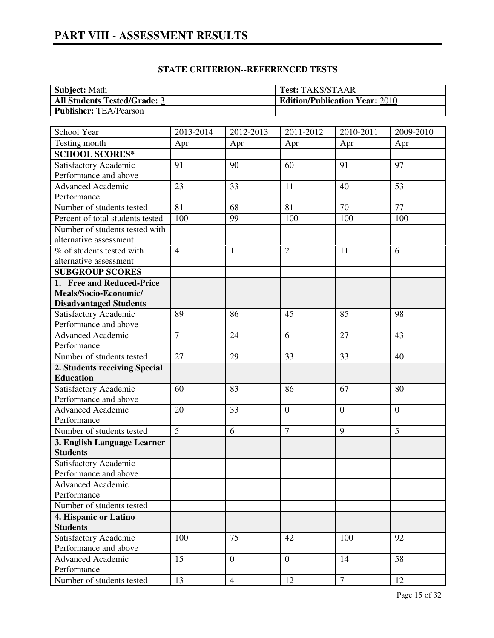# **PART VIII - ASSESSMENT RESULTS**

| <b>Subject: Math</b>                | <b>Test: TAKS/STAAR</b>               |
|-------------------------------------|---------------------------------------|
| <b>All Students Tested/Grade: 3</b> | <b>Edition/Publication Year: 2010</b> |
| <b>Publisher: TEA/Pearson</b>       |                                       |

| School Year                                    | 2013-2014      | 2012-2013      | 2011-2012      | 2010-2011 | 2009-2010      |
|------------------------------------------------|----------------|----------------|----------------|-----------|----------------|
| Testing month                                  | Apr            | Apr            | Apr            | Apr       | Apr            |
| <b>SCHOOL SCORES*</b>                          |                |                |                |           |                |
| Satisfactory Academic                          | 91             | 90             | 60             | 91        | 97             |
| Performance and above                          |                |                |                |           |                |
| <b>Advanced Academic</b>                       | 23             | 33             | 11             | 40        | 53             |
| Performance                                    |                |                |                |           |                |
| Number of students tested                      | 81             | 68             | 81             | 70        | 77             |
| Percent of total students tested               | 100            | 99             | 100            | 100       | 100            |
| Number of students tested with                 |                |                |                |           |                |
| alternative assessment                         |                |                |                |           |                |
| % of students tested with                      | $\overline{4}$ | $\mathbf{1}$   | $\overline{2}$ | 11        | 6              |
| alternative assessment                         |                |                |                |           |                |
| <b>SUBGROUP SCORES</b>                         |                |                |                |           |                |
| 1. Free and Reduced-Price                      |                |                |                |           |                |
| Meals/Socio-Economic/                          |                |                |                |           |                |
| <b>Disadvantaged Students</b>                  |                |                |                |           |                |
| Satisfactory Academic                          | 89             | 86             | 45             | 85        | 98             |
| Performance and above                          |                |                |                |           |                |
| Advanced Academic                              | $\overline{7}$ | 24             | 6              | 27        | 43             |
| Performance                                    |                |                |                |           |                |
| Number of students tested                      | 27             | 29             | 33             | 33        | 40             |
| 2. Students receiving Special                  |                |                |                |           |                |
| <b>Education</b>                               |                |                |                |           |                |
| Satisfactory Academic                          | 60             | 83             | 86             | 67        | 80             |
| Performance and above                          |                |                |                |           |                |
| <b>Advanced Academic</b>                       | 20             | 33             | $\overline{0}$ | $\theta$  | $\overline{0}$ |
| Performance                                    | $\overline{5}$ |                | $\overline{7}$ |           |                |
| Number of students tested                      |                | 6              |                | 9         | 5              |
| 3. English Language Learner                    |                |                |                |           |                |
| <b>Students</b>                                |                |                |                |           |                |
| Satisfactory Academic<br>Performance and above |                |                |                |           |                |
| <b>Advanced Academic</b>                       |                |                |                |           |                |
| Performance                                    |                |                |                |           |                |
| Number of students tested                      |                |                |                |           |                |
| 4. Hispanic or Latino                          |                |                |                |           |                |
| <b>Students</b>                                |                |                |                |           |                |
| Satisfactory Academic                          | 100            | 75             | 42             | 100       | 92             |
| Performance and above                          |                |                |                |           |                |
| <b>Advanced Academic</b>                       | 15             | $\overline{0}$ | $\overline{0}$ | 14        | 58             |
| Performance                                    |                |                |                |           |                |
| Number of students tested                      | 13             | $\overline{4}$ | 12             | $\tau$    | 12             |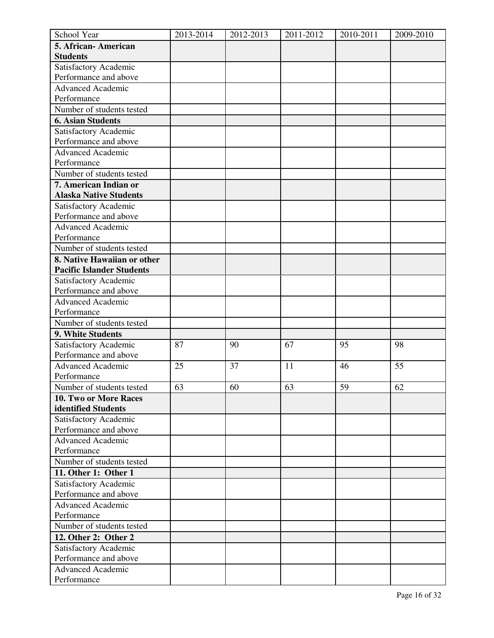| School Year                      | 2013-2014 | 2012-2013 | 2011-2012 | 2010-2011 | 2009-2010 |
|----------------------------------|-----------|-----------|-----------|-----------|-----------|
| 5. African-American              |           |           |           |           |           |
| <b>Students</b>                  |           |           |           |           |           |
| Satisfactory Academic            |           |           |           |           |           |
| Performance and above            |           |           |           |           |           |
| <b>Advanced Academic</b>         |           |           |           |           |           |
| Performance                      |           |           |           |           |           |
| Number of students tested        |           |           |           |           |           |
| <b>6. Asian Students</b>         |           |           |           |           |           |
| Satisfactory Academic            |           |           |           |           |           |
| Performance and above            |           |           |           |           |           |
| <b>Advanced Academic</b>         |           |           |           |           |           |
| Performance                      |           |           |           |           |           |
| Number of students tested        |           |           |           |           |           |
| 7. American Indian or            |           |           |           |           |           |
| <b>Alaska Native Students</b>    |           |           |           |           |           |
| Satisfactory Academic            |           |           |           |           |           |
| Performance and above            |           |           |           |           |           |
| <b>Advanced Academic</b>         |           |           |           |           |           |
| Performance                      |           |           |           |           |           |
| Number of students tested        |           |           |           |           |           |
| 8. Native Hawaiian or other      |           |           |           |           |           |
| <b>Pacific Islander Students</b> |           |           |           |           |           |
| Satisfactory Academic            |           |           |           |           |           |
| Performance and above            |           |           |           |           |           |
| <b>Advanced Academic</b>         |           |           |           |           |           |
| Performance                      |           |           |           |           |           |
| Number of students tested        |           |           |           |           |           |
| 9. White Students                |           |           |           |           |           |
| Satisfactory Academic            | 87        | 90        | 67        | 95        | 98        |
| Performance and above            |           |           |           |           |           |
| <b>Advanced Academic</b>         | 25        | 37        | 11        | 46        | 55        |
| Performance                      |           |           |           |           |           |
| Number of students tested        | 63        | 60        | 63        | 59        | 62        |
| 10. Two or More Races            |           |           |           |           |           |
| identified Students              |           |           |           |           |           |
| Satisfactory Academic            |           |           |           |           |           |
| Performance and above            |           |           |           |           |           |
| <b>Advanced Academic</b>         |           |           |           |           |           |
| Performance                      |           |           |           |           |           |
| Number of students tested        |           |           |           |           |           |
| 11. Other 1: Other 1             |           |           |           |           |           |
| Satisfactory Academic            |           |           |           |           |           |
| Performance and above            |           |           |           |           |           |
| <b>Advanced Academic</b>         |           |           |           |           |           |
| Performance                      |           |           |           |           |           |
| Number of students tested        |           |           |           |           |           |
| 12. Other 2: Other 2             |           |           |           |           |           |
| Satisfactory Academic            |           |           |           |           |           |
| Performance and above            |           |           |           |           |           |
| <b>Advanced Academic</b>         |           |           |           |           |           |
| Performance                      |           |           |           |           |           |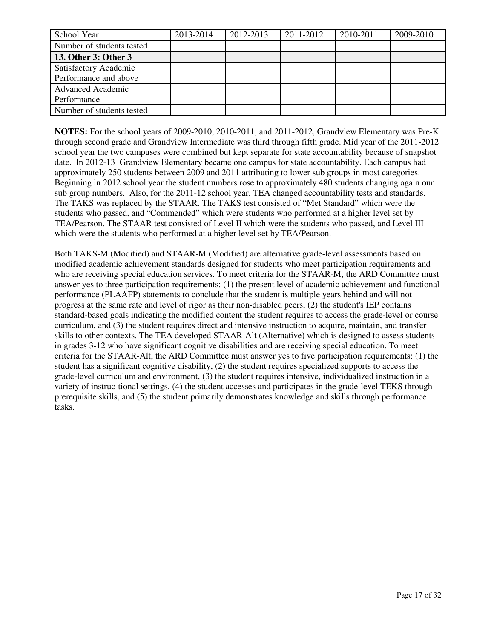| School Year               | 2013-2014 | 2012-2013 | 2011-2012 | 2010-2011 | 2009-2010 |
|---------------------------|-----------|-----------|-----------|-----------|-----------|
| Number of students tested |           |           |           |           |           |
| 13. Other 3: Other 3      |           |           |           |           |           |
| Satisfactory Academic     |           |           |           |           |           |
| Performance and above     |           |           |           |           |           |
| <b>Advanced Academic</b>  |           |           |           |           |           |
| Performance               |           |           |           |           |           |
| Number of students tested |           |           |           |           |           |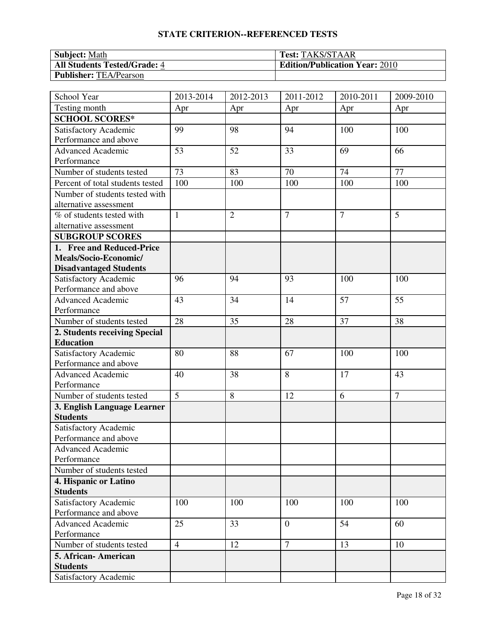| <b>Subject: Math</b>                | <b>Test: TAKS/STAAR</b>               |
|-------------------------------------|---------------------------------------|
| <b>All Students Tested/Grade: 4</b> | <b>Edition/Publication Year: 2010</b> |
| <b>Publisher: TEA/Pearson</b>       |                                       |

| School Year                             | 2013-2014      | 2012-2013      | 2011-2012      | 2010-2011      | 2009-2010      |
|-----------------------------------------|----------------|----------------|----------------|----------------|----------------|
| Testing month                           | Apr            | Apr            | Apr            | Apr            | Apr            |
| <b>SCHOOL SCORES*</b>                   |                |                |                |                |                |
| Satisfactory Academic                   | 99             | 98             | 94             | 100            | 100            |
| Performance and above                   |                |                |                |                |                |
| <b>Advanced Academic</b>                | 53             | 52             | 33             | 69             | 66             |
| Performance                             |                |                |                |                |                |
| Number of students tested               | 73             | 83             | 70             | 74             | 77             |
| Percent of total students tested        | 100            | 100            | 100            | 100            | 100            |
| Number of students tested with          |                |                |                |                |                |
| alternative assessment                  |                |                |                |                |                |
| % of students tested with               | $\mathbf{1}$   | $\overline{2}$ | $\overline{7}$ | $\overline{7}$ | 5              |
| alternative assessment                  |                |                |                |                |                |
| <b>SUBGROUP SCORES</b>                  |                |                |                |                |                |
| 1. Free and Reduced-Price               |                |                |                |                |                |
| Meals/Socio-Economic/                   |                |                |                |                |                |
| <b>Disadvantaged Students</b>           |                |                |                |                |                |
| Satisfactory Academic                   | 96             | 94             | 93             | 100            | 100            |
| Performance and above                   |                |                |                |                |                |
| <b>Advanced Academic</b>                | 43             | 34             | 14             | 57             | 55             |
| Performance                             |                |                |                |                |                |
| Number of students tested               | 28             | 35             | 28             | 37             | 38             |
| 2. Students receiving Special           |                |                |                |                |                |
| <b>Education</b>                        |                |                |                |                |                |
| Satisfactory Academic                   | 80             | 88             | 67             | 100            | 100            |
| Performance and above                   |                |                |                |                |                |
| <b>Advanced Academic</b>                | 40             | 38             | 8              | 17             | 43             |
| Performance                             |                |                |                |                |                |
| Number of students tested               | $\overline{5}$ | 8              | 12             | 6              | $\overline{7}$ |
| 3. English Language Learner             |                |                |                |                |                |
| <b>Students</b>                         |                |                |                |                |                |
| Satisfactory Academic                   |                |                |                |                |                |
| Performance and above                   |                |                |                |                |                |
| <b>Advanced Academic</b>                |                |                |                |                |                |
| Performance                             |                |                |                |                |                |
| Number of students tested               |                |                |                |                |                |
| 4. Hispanic or Latino                   |                |                |                |                |                |
| <b>Students</b>                         |                |                |                |                |                |
| Satisfactory Academic                   | 100            | 100            | 100            | 100            | 100            |
| Performance and above                   |                |                |                |                |                |
| <b>Advanced Academic</b><br>Performance | 25             | 33             | $\overline{0}$ | 54             | 60             |
| Number of students tested               | $\overline{4}$ | 12             | $\overline{7}$ | 13             | 10             |
|                                         |                |                |                |                |                |
| 5. African-American                     |                |                |                |                |                |
| <b>Students</b>                         |                |                |                |                |                |
| Satisfactory Academic                   |                |                |                |                |                |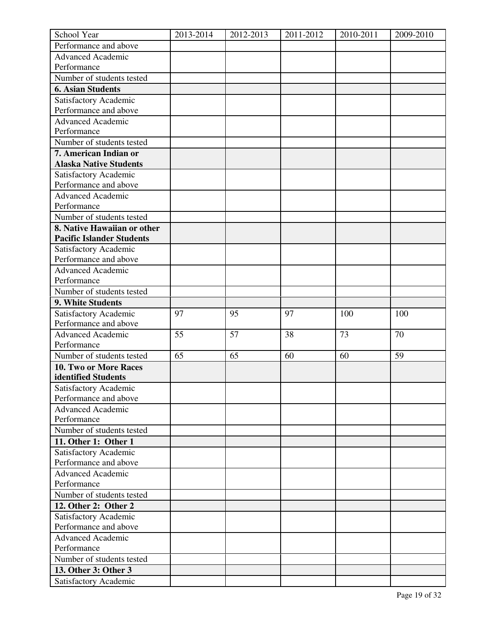| School Year                      | 2013-2014 | 2012-2013 | 2011-2012 | 2010-2011 | 2009-2010 |
|----------------------------------|-----------|-----------|-----------|-----------|-----------|
| Performance and above            |           |           |           |           |           |
| <b>Advanced Academic</b>         |           |           |           |           |           |
| Performance                      |           |           |           |           |           |
| Number of students tested        |           |           |           |           |           |
| <b>6. Asian Students</b>         |           |           |           |           |           |
| Satisfactory Academic            |           |           |           |           |           |
| Performance and above            |           |           |           |           |           |
| <b>Advanced Academic</b>         |           |           |           |           |           |
| Performance                      |           |           |           |           |           |
| Number of students tested        |           |           |           |           |           |
| 7. American Indian or            |           |           |           |           |           |
| <b>Alaska Native Students</b>    |           |           |           |           |           |
| Satisfactory Academic            |           |           |           |           |           |
| Performance and above            |           |           |           |           |           |
| <b>Advanced Academic</b>         |           |           |           |           |           |
| Performance                      |           |           |           |           |           |
| Number of students tested        |           |           |           |           |           |
| 8. Native Hawaiian or other      |           |           |           |           |           |
| <b>Pacific Islander Students</b> |           |           |           |           |           |
| Satisfactory Academic            |           |           |           |           |           |
| Performance and above            |           |           |           |           |           |
| Advanced Academic                |           |           |           |           |           |
| Performance                      |           |           |           |           |           |
| Number of students tested        |           |           |           |           |           |
| 9. White Students                |           |           |           |           |           |
| Satisfactory Academic            | 97        | 95        | 97        | 100       | 100       |
| Performance and above            |           |           |           |           |           |
| <b>Advanced Academic</b>         | 55        | 57        | 38        | 73        | 70        |
| Performance                      |           |           |           |           |           |
| Number of students tested        | 65        | 65        | 60        | 60        | 59        |
| 10. Two or More Races            |           |           |           |           |           |
| identified Students              |           |           |           |           |           |
| Satisfactory Academic            |           |           |           |           |           |
| Performance and above            |           |           |           |           |           |
| Advanced Academic                |           |           |           |           |           |
| Performance                      |           |           |           |           |           |
| Number of students tested        |           |           |           |           |           |
| 11. Other 1: Other 1             |           |           |           |           |           |
| Satisfactory Academic            |           |           |           |           |           |
| Performance and above            |           |           |           |           |           |
| <b>Advanced Academic</b>         |           |           |           |           |           |
| Performance                      |           |           |           |           |           |
| Number of students tested        |           |           |           |           |           |
| 12. Other 2: Other 2             |           |           |           |           |           |
| Satisfactory Academic            |           |           |           |           |           |
| Performance and above            |           |           |           |           |           |
| <b>Advanced Academic</b>         |           |           |           |           |           |
| Performance                      |           |           |           |           |           |
| Number of students tested        |           |           |           |           |           |
|                                  |           |           |           |           |           |
| 13. Other 3: Other 3             |           |           |           |           |           |
| Satisfactory Academic            |           |           |           |           |           |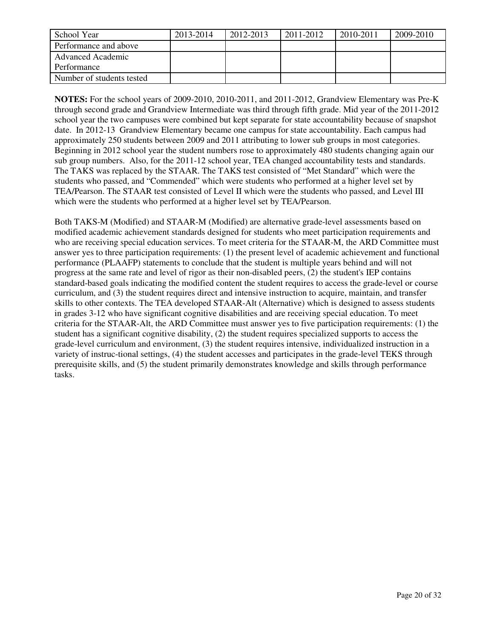| School Year               | 2013-2014 | 2012-2013 | 2011-2012 | 2010-2011 | 2009-2010 |
|---------------------------|-----------|-----------|-----------|-----------|-----------|
| Performance and above     |           |           |           |           |           |
| Advanced Academic         |           |           |           |           |           |
| Performance               |           |           |           |           |           |
| Number of students tested |           |           |           |           |           |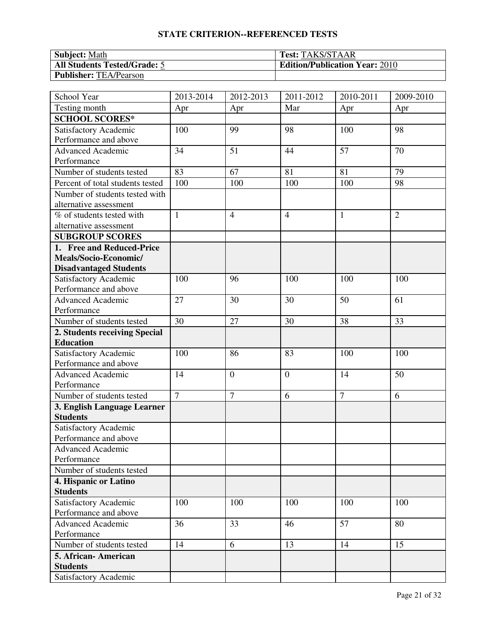| <b>Subject: Math</b>                | <b>Test: TAKS/STAAR</b>               |
|-------------------------------------|---------------------------------------|
| <b>All Students Tested/Grade: 5</b> | <b>Edition/Publication Year: 2010</b> |
| <b>Publisher: TEA/Pearson</b>       |                                       |

| School Year                      | 2013-2014      | 2012-2013      | 2011-2012      | 2010-2011      | 2009-2010      |
|----------------------------------|----------------|----------------|----------------|----------------|----------------|
| Testing month                    | Apr            | Apr            | Mar            | Apr            | Apr            |
| <b>SCHOOL SCORES*</b>            |                |                |                |                |                |
| Satisfactory Academic            | 100            | 99             | 98             | 100            | 98             |
| Performance and above            |                |                |                |                |                |
| <b>Advanced Academic</b>         | 34             | 51             | 44             | 57             | 70             |
| Performance                      |                |                |                |                |                |
| Number of students tested        | 83             | 67             | 81             | 81             | 79             |
| Percent of total students tested | 100            | 100            | 100            | 100            | 98             |
| Number of students tested with   |                |                |                |                |                |
| alternative assessment           |                |                |                |                |                |
| % of students tested with        | $\mathbf{1}$   | $\overline{4}$ | $\overline{4}$ | $\mathbf{1}$   | $\overline{2}$ |
| alternative assessment           |                |                |                |                |                |
| <b>SUBGROUP SCORES</b>           |                |                |                |                |                |
| 1. Free and Reduced-Price        |                |                |                |                |                |
| Meals/Socio-Economic/            |                |                |                |                |                |
| <b>Disadvantaged Students</b>    |                |                |                |                |                |
| Satisfactory Academic            | 100            | 96             | 100            | 100            | 100            |
| Performance and above            |                |                |                |                |                |
| <b>Advanced Academic</b>         | 27             | 30             | 30             | 50             | 61             |
| Performance                      |                |                |                |                |                |
| Number of students tested        | 30             | 27             | 30             | 38             | 33             |
| 2. Students receiving Special    |                |                |                |                |                |
| <b>Education</b>                 |                |                |                |                |                |
| Satisfactory Academic            | 100            | 86             | 83             | 100            | 100            |
| Performance and above            |                |                |                |                |                |
| <b>Advanced Academic</b>         | 14             | $\overline{0}$ | $\overline{0}$ | 14             | 50             |
| Performance                      |                |                |                |                |                |
| Number of students tested        | $\overline{7}$ | $\overline{7}$ | 6              | $\overline{7}$ | 6              |
| 3. English Language Learner      |                |                |                |                |                |
| <b>Students</b>                  |                |                |                |                |                |
| Satisfactory Academic            |                |                |                |                |                |
| Performance and above            |                |                |                |                |                |
| <b>Advanced Academic</b>         |                |                |                |                |                |
| Performance                      |                |                |                |                |                |
| Number of students tested        |                |                |                |                |                |
| 4. Hispanic or Latino            |                |                |                |                |                |
| <b>Students</b>                  |                |                |                |                |                |
| Satisfactory Academic            | 100            | 100            | 100            | 100            | 100            |
| Performance and above            |                |                |                |                |                |
| <b>Advanced Academic</b>         | 36             | 33             | 46             | 57             | 80             |
| Performance                      |                |                |                |                |                |
| Number of students tested        | 14             | 6              | 13             | 14             | 15             |
| 5. African-American              |                |                |                |                |                |
| <b>Students</b>                  |                |                |                |                |                |
| Satisfactory Academic            |                |                |                |                |                |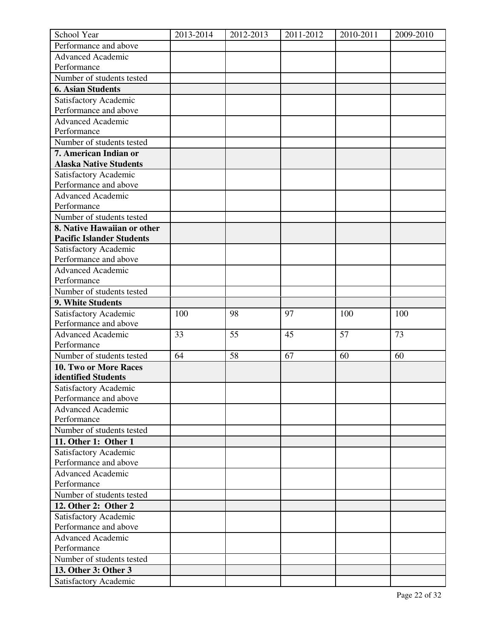| School Year                      | 2013-2014 | 2012-2013 | 2011-2012 | 2010-2011 | 2009-2010 |
|----------------------------------|-----------|-----------|-----------|-----------|-----------|
| Performance and above            |           |           |           |           |           |
| <b>Advanced Academic</b>         |           |           |           |           |           |
| Performance                      |           |           |           |           |           |
| Number of students tested        |           |           |           |           |           |
| <b>6. Asian Students</b>         |           |           |           |           |           |
| Satisfactory Academic            |           |           |           |           |           |
| Performance and above            |           |           |           |           |           |
| Advanced Academic                |           |           |           |           |           |
| Performance                      |           |           |           |           |           |
| Number of students tested        |           |           |           |           |           |
| 7. American Indian or            |           |           |           |           |           |
| <b>Alaska Native Students</b>    |           |           |           |           |           |
| Satisfactory Academic            |           |           |           |           |           |
| Performance and above            |           |           |           |           |           |
| <b>Advanced Academic</b>         |           |           |           |           |           |
| Performance                      |           |           |           |           |           |
| Number of students tested        |           |           |           |           |           |
| 8. Native Hawaiian or other      |           |           |           |           |           |
| <b>Pacific Islander Students</b> |           |           |           |           |           |
| Satisfactory Academic            |           |           |           |           |           |
| Performance and above            |           |           |           |           |           |
| <b>Advanced Academic</b>         |           |           |           |           |           |
| Performance                      |           |           |           |           |           |
| Number of students tested        |           |           |           |           |           |
| 9. White Students                |           |           |           |           |           |
|                                  |           |           |           |           |           |
| Satisfactory Academic            | 100       | 98        | 97        | 100       | 100       |
| Performance and above            |           |           |           |           |           |
| <b>Advanced Academic</b>         | 33        | 55        | 45        | 57        | 73        |
| Performance                      |           |           |           |           |           |
| Number of students tested        | 64        | 58        | 67        | 60        | 60        |
| 10. Two or More Races            |           |           |           |           |           |
| identified Students              |           |           |           |           |           |
| Satisfactory Academic            |           |           |           |           |           |
| Performance and above            |           |           |           |           |           |
| <b>Advanced Academic</b>         |           |           |           |           |           |
| Performance                      |           |           |           |           |           |
| Number of students tested        |           |           |           |           |           |
| 11. Other 1: Other 1             |           |           |           |           |           |
| Satisfactory Academic            |           |           |           |           |           |
| Performance and above            |           |           |           |           |           |
| <b>Advanced Academic</b>         |           |           |           |           |           |
| Performance                      |           |           |           |           |           |
| Number of students tested        |           |           |           |           |           |
| 12. Other 2: Other 2             |           |           |           |           |           |
| Satisfactory Academic            |           |           |           |           |           |
| Performance and above            |           |           |           |           |           |
| <b>Advanced Academic</b>         |           |           |           |           |           |
| Performance                      |           |           |           |           |           |
| Number of students tested        |           |           |           |           |           |
| 13. Other 3: Other 3             |           |           |           |           |           |
| Satisfactory Academic            |           |           |           |           |           |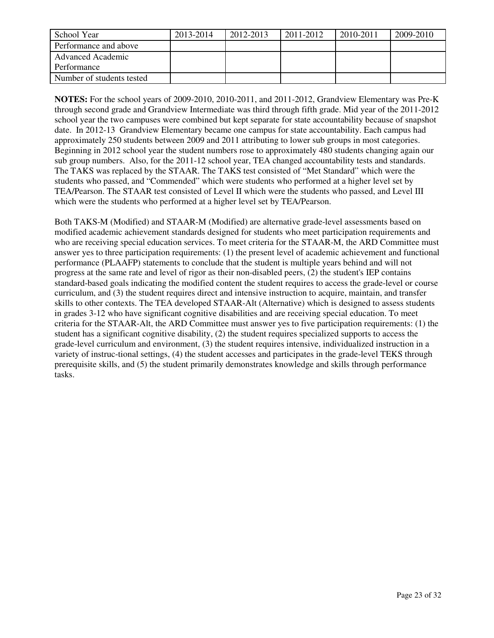| School Year               | 2013-2014 | 2012-2013 | 2011-2012 | 2010-2011 | 2009-2010 |
|---------------------------|-----------|-----------|-----------|-----------|-----------|
| Performance and above     |           |           |           |           |           |
| Advanced Academic         |           |           |           |           |           |
| Performance               |           |           |           |           |           |
| Number of students tested |           |           |           |           |           |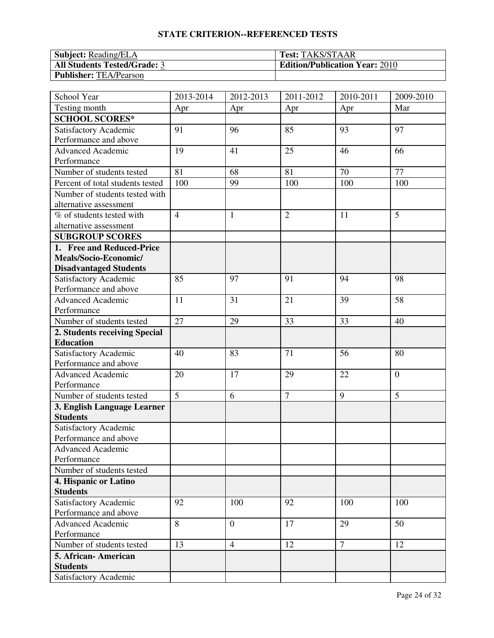| <b>Subject:</b> Reading/ELA         | <b>Test: TAKS/STAAR</b>               |
|-------------------------------------|---------------------------------------|
| <b>All Students Tested/Grade: 3</b> | <b>Edition/Publication Year: 2010</b> |
| <b>Publisher: TEA/Pearson</b>       |                                       |

| School Year                                    | 2013-2014      | 2012-2013      | 2011-2012      | 2010-2011      | 2009-2010      |
|------------------------------------------------|----------------|----------------|----------------|----------------|----------------|
| Testing month                                  | Apr            | Apr            | Apr            | Apr            | Mar            |
| <b>SCHOOL SCORES*</b>                          |                |                |                |                |                |
| Satisfactory Academic                          | 91             | 96             | 85             | 93             | 97             |
| Performance and above                          |                |                |                |                |                |
| <b>Advanced Academic</b>                       | 19             | 41             | 25             | 46             | 66             |
| Performance                                    |                |                |                |                |                |
| Number of students tested                      | 81             | 68             | 81             | 70             | 77             |
| Percent of total students tested               | 100            | 99             | 100            | 100            | 100            |
| Number of students tested with                 |                |                |                |                |                |
| alternative assessment                         |                |                |                |                |                |
| % of students tested with                      | $\overline{4}$ | $\mathbf{1}$   | $\overline{2}$ | 11             | 5              |
| alternative assessment                         |                |                |                |                |                |
| <b>SUBGROUP SCORES</b>                         |                |                |                |                |                |
| 1. Free and Reduced-Price                      |                |                |                |                |                |
| Meals/Socio-Economic/                          |                |                |                |                |                |
| <b>Disadvantaged Students</b>                  |                |                |                |                |                |
| Satisfactory Academic                          | 85             | 97             | 91             | 94             | 98             |
| Performance and above                          |                |                |                |                |                |
| <b>Advanced Academic</b>                       | 11             | 31             | 21             | 39             | 58             |
| Performance                                    |                |                |                |                |                |
| Number of students tested                      | 27             | 29             | 33             | 33             | 40             |
| 2. Students receiving Special                  |                |                |                |                |                |
| <b>Education</b>                               |                |                |                |                |                |
| Satisfactory Academic                          | 40             | 83             | 71             | 56             | 80             |
| Performance and above                          |                |                |                |                |                |
| <b>Advanced Academic</b>                       | 20             | 17             | 29             | 22             | $\overline{0}$ |
| Performance                                    |                |                |                |                |                |
| Number of students tested                      | $\overline{5}$ | 6              | $\overline{7}$ | 9              | 5              |
| 3. English Language Learner                    |                |                |                |                |                |
| <b>Students</b>                                |                |                |                |                |                |
| Satisfactory Academic                          |                |                |                |                |                |
| Performance and above                          |                |                |                |                |                |
| <b>Advanced Academic</b>                       |                |                |                |                |                |
| Performance                                    |                |                |                |                |                |
| Number of students tested                      |                |                |                |                |                |
| 4. Hispanic or Latino<br><b>Students</b>       |                |                |                |                |                |
|                                                |                |                |                |                |                |
| Satisfactory Academic<br>Performance and above | 92             | 100            | 92             | 100            | 100            |
| <b>Advanced Academic</b>                       | 8              | $\theta$       | 17             | 29             | 50             |
| Performance                                    |                |                |                |                |                |
| Number of students tested                      | 13             | $\overline{4}$ | 12             | $\overline{7}$ | 12             |
| 5. African-American                            |                |                |                |                |                |
| <b>Students</b>                                |                |                |                |                |                |
| Satisfactory Academic                          |                |                |                |                |                |
|                                                |                |                |                |                |                |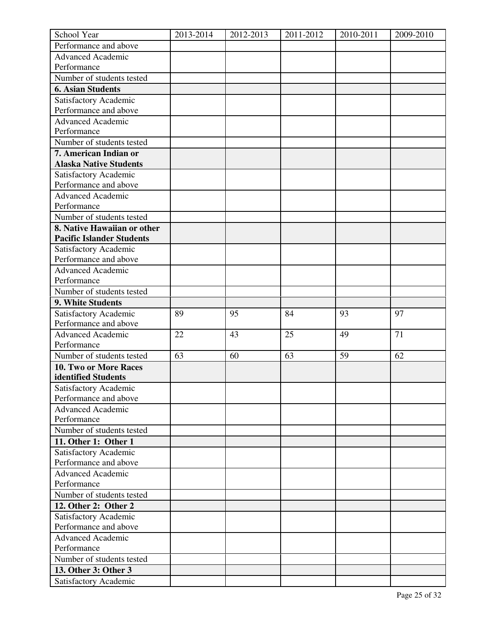| School Year                             | 2013-2014 | 2012-2013 | 2011-2012 | 2010-2011 | 2009-2010 |
|-----------------------------------------|-----------|-----------|-----------|-----------|-----------|
| Performance and above                   |           |           |           |           |           |
| <b>Advanced Academic</b>                |           |           |           |           |           |
| Performance                             |           |           |           |           |           |
| Number of students tested               |           |           |           |           |           |
| <b>6. Asian Students</b>                |           |           |           |           |           |
| Satisfactory Academic                   |           |           |           |           |           |
| Performance and above                   |           |           |           |           |           |
| <b>Advanced Academic</b>                |           |           |           |           |           |
| Performance                             |           |           |           |           |           |
| Number of students tested               |           |           |           |           |           |
| 7. American Indian or                   |           |           |           |           |           |
| <b>Alaska Native Students</b>           |           |           |           |           |           |
| Satisfactory Academic                   |           |           |           |           |           |
| Performance and above                   |           |           |           |           |           |
| <b>Advanced Academic</b>                |           |           |           |           |           |
| Performance                             |           |           |           |           |           |
| Number of students tested               |           |           |           |           |           |
| 8. Native Hawaiian or other             |           |           |           |           |           |
| <b>Pacific Islander Students</b>        |           |           |           |           |           |
| Satisfactory Academic                   |           |           |           |           |           |
| Performance and above                   |           |           |           |           |           |
| <b>Advanced Academic</b>                |           |           |           |           |           |
| Performance                             |           |           |           |           |           |
| Number of students tested               |           |           |           |           |           |
| 9. White Students                       |           |           |           |           |           |
|                                         |           |           |           |           |           |
| Satisfactory Academic                   | 89        | 95        | 84        | 93        | 97        |
| Performance and above                   |           |           |           |           |           |
| <b>Advanced Academic</b><br>Performance | 22        | 43        | 25        | 49        | 71        |
|                                         |           |           |           |           |           |
| Number of students tested               | 63        | 60        | 63        | 59        | 62        |
| 10. Two or More Races                   |           |           |           |           |           |
| identified Students                     |           |           |           |           |           |
| Satisfactory Academic                   |           |           |           |           |           |
| Performance and above                   |           |           |           |           |           |
| <b>Advanced Academic</b>                |           |           |           |           |           |
| Performance                             |           |           |           |           |           |
| Number of students tested               |           |           |           |           |           |
| 11. Other 1: Other 1                    |           |           |           |           |           |
| Satisfactory Academic                   |           |           |           |           |           |
| Performance and above                   |           |           |           |           |           |
| <b>Advanced Academic</b>                |           |           |           |           |           |
| Performance                             |           |           |           |           |           |
| Number of students tested               |           |           |           |           |           |
| 12. Other 2: Other 2                    |           |           |           |           |           |
| Satisfactory Academic                   |           |           |           |           |           |
| Performance and above                   |           |           |           |           |           |
| <b>Advanced Academic</b>                |           |           |           |           |           |
| Performance                             |           |           |           |           |           |
| Number of students tested               |           |           |           |           |           |
| 13. Other 3: Other 3                    |           |           |           |           |           |
| Satisfactory Academic                   |           |           |           |           |           |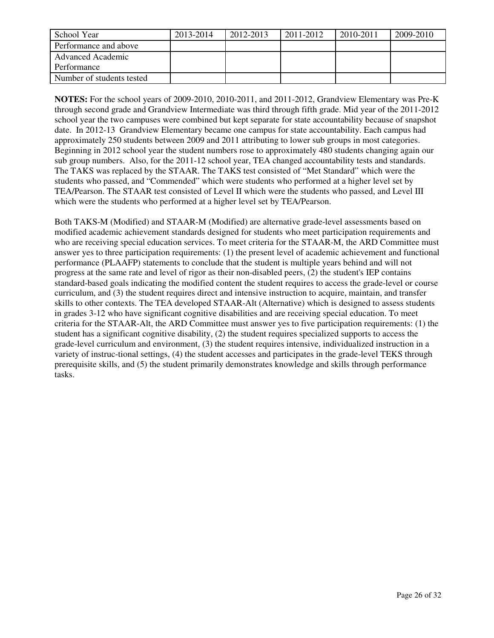| School Year               | 2013-2014 | 2012-2013 | 2011-2012 | 2010-2011 | 2009-2010 |
|---------------------------|-----------|-----------|-----------|-----------|-----------|
| Performance and above     |           |           |           |           |           |
| Advanced Academic         |           |           |           |           |           |
| Performance               |           |           |           |           |           |
| Number of students tested |           |           |           |           |           |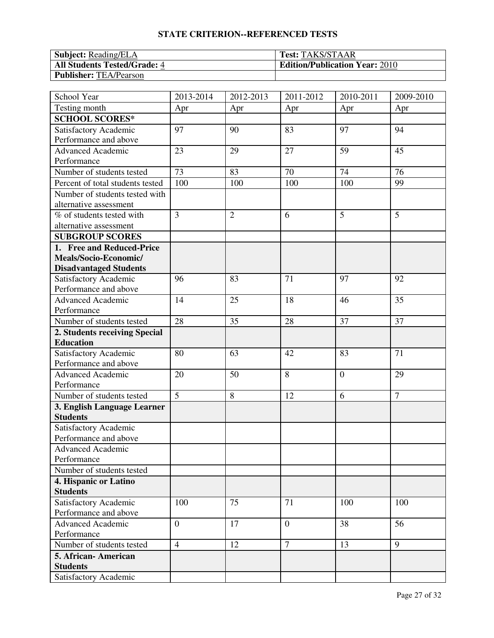| <b>Subject:</b> Reading/ELA         | <b>Test: TAKS/STAAR</b>               |
|-------------------------------------|---------------------------------------|
| <b>All Students Tested/Grade: 4</b> | <b>Edition/Publication Year: 2010</b> |
| <b>Publisher: TEA/Pearson</b>       |                                       |

| School Year                      | 2013-2014      | 2012-2013      | 2011-2012      | 2010-2011      | 2009-2010      |
|----------------------------------|----------------|----------------|----------------|----------------|----------------|
| Testing month                    | Apr            | Apr            | Apr            | Apr            | Apr            |
| <b>SCHOOL SCORES*</b>            |                |                |                |                |                |
| Satisfactory Academic            | 97             | 90             | 83             | 97             | 94             |
| Performance and above            |                |                |                |                |                |
| <b>Advanced Academic</b>         | 23             | 29             | 27             | 59             | 45             |
| Performance                      |                |                |                |                |                |
| Number of students tested        | 73             | 83             | 70             | 74             | 76             |
| Percent of total students tested | 100            | 100            | 100            | 100            | 99             |
| Number of students tested with   |                |                |                |                |                |
| alternative assessment           |                |                |                |                |                |
| % of students tested with        | $\overline{3}$ | $\overline{2}$ | 6              | 5              | 5              |
| alternative assessment           |                |                |                |                |                |
| <b>SUBGROUP SCORES</b>           |                |                |                |                |                |
| 1. Free and Reduced-Price        |                |                |                |                |                |
| Meals/Socio-Economic/            |                |                |                |                |                |
| <b>Disadvantaged Students</b>    |                |                |                |                |                |
| Satisfactory Academic            | 96             | 83             | 71             | 97             | 92             |
| Performance and above            |                |                |                |                |                |
| Advanced Academic                | 14             | 25             | 18             | 46             | 35             |
| Performance                      |                |                |                |                |                |
| Number of students tested        | 28             | 35             | 28             | 37             | 37             |
| 2. Students receiving Special    |                |                |                |                |                |
| <b>Education</b>                 |                |                |                |                |                |
| Satisfactory Academic            | 80             | 63             | 42             | 83             | 71             |
| Performance and above            |                |                |                |                |                |
| <b>Advanced Academic</b>         | 20             | 50             | 8              | $\overline{0}$ | 29             |
| Performance                      |                |                |                |                |                |
| Number of students tested        | $\overline{5}$ | 8              | 12             | 6              | $\overline{7}$ |
| 3. English Language Learner      |                |                |                |                |                |
| <b>Students</b>                  |                |                |                |                |                |
| Satisfactory Academic            |                |                |                |                |                |
| Performance and above            |                |                |                |                |                |
| <b>Advanced Academic</b>         |                |                |                |                |                |
| Performance                      |                |                |                |                |                |
| Number of students tested        |                |                |                |                |                |
| 4. Hispanic or Latino            |                |                |                |                |                |
| <b>Students</b>                  |                |                |                |                |                |
| Satisfactory Academic            | 100            | 75             | 71             | 100            | 100            |
| Performance and above            |                |                |                |                |                |
| <b>Advanced Academic</b>         | $\overline{0}$ | 17             | $\overline{0}$ | 38             | 56             |
| Performance                      |                |                | $\overline{7}$ |                |                |
| Number of students tested        | $\overline{4}$ | 12             |                | 13             | 9              |
| 5. African- American             |                |                |                |                |                |
| <b>Students</b>                  |                |                |                |                |                |
| Satisfactory Academic            |                |                |                |                |                |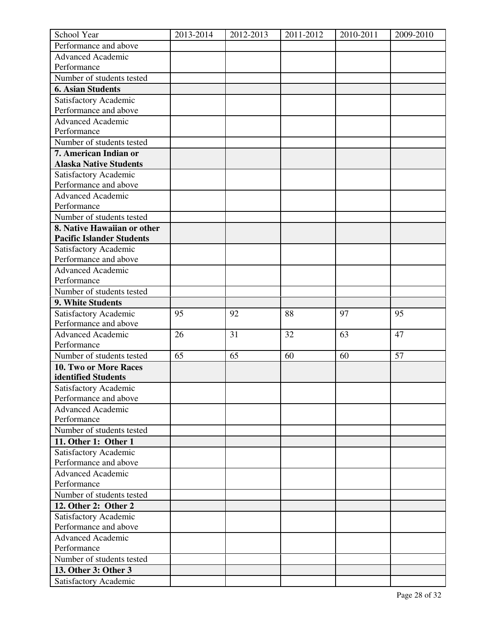| School Year                      | 2013-2014 | 2012-2013 | 2011-2012 | 2010-2011 | 2009-2010 |
|----------------------------------|-----------|-----------|-----------|-----------|-----------|
| Performance and above            |           |           |           |           |           |
| <b>Advanced Academic</b>         |           |           |           |           |           |
| Performance                      |           |           |           |           |           |
| Number of students tested        |           |           |           |           |           |
| <b>6. Asian Students</b>         |           |           |           |           |           |
| Satisfactory Academic            |           |           |           |           |           |
| Performance and above            |           |           |           |           |           |
| <b>Advanced Academic</b>         |           |           |           |           |           |
| Performance                      |           |           |           |           |           |
| Number of students tested        |           |           |           |           |           |
| 7. American Indian or            |           |           |           |           |           |
| <b>Alaska Native Students</b>    |           |           |           |           |           |
| Satisfactory Academic            |           |           |           |           |           |
| Performance and above            |           |           |           |           |           |
| <b>Advanced Academic</b>         |           |           |           |           |           |
| Performance                      |           |           |           |           |           |
| Number of students tested        |           |           |           |           |           |
| 8. Native Hawaiian or other      |           |           |           |           |           |
| <b>Pacific Islander Students</b> |           |           |           |           |           |
| Satisfactory Academic            |           |           |           |           |           |
| Performance and above            |           |           |           |           |           |
| <b>Advanced Academic</b>         |           |           |           |           |           |
| Performance                      |           |           |           |           |           |
| Number of students tested        |           |           |           |           |           |
| 9. White Students                |           |           |           |           |           |
|                                  |           |           |           |           |           |
| Satisfactory Academic            | 95        | 92        | 88        | 97        | 95        |
| Performance and above            |           |           |           |           |           |
| <b>Advanced Academic</b>         | 26        | 31        | 32        | 63        | 47        |
| Performance                      |           |           |           |           |           |
| Number of students tested        | 65        | 65        | 60        | 60        | 57        |
| 10. Two or More Races            |           |           |           |           |           |
| identified Students              |           |           |           |           |           |
| Satisfactory Academic            |           |           |           |           |           |
| Performance and above            |           |           |           |           |           |
| <b>Advanced Academic</b>         |           |           |           |           |           |
| Performance                      |           |           |           |           |           |
| Number of students tested        |           |           |           |           |           |
| 11. Other 1: Other 1             |           |           |           |           |           |
| Satisfactory Academic            |           |           |           |           |           |
| Performance and above            |           |           |           |           |           |
| <b>Advanced Academic</b>         |           |           |           |           |           |
| Performance                      |           |           |           |           |           |
| Number of students tested        |           |           |           |           |           |
| 12. Other 2: Other 2             |           |           |           |           |           |
| Satisfactory Academic            |           |           |           |           |           |
| Performance and above            |           |           |           |           |           |
| <b>Advanced Academic</b>         |           |           |           |           |           |
| Performance                      |           |           |           |           |           |
| Number of students tested        |           |           |           |           |           |
| 13. Other 3: Other 3             |           |           |           |           |           |
| Satisfactory Academic            |           |           |           |           |           |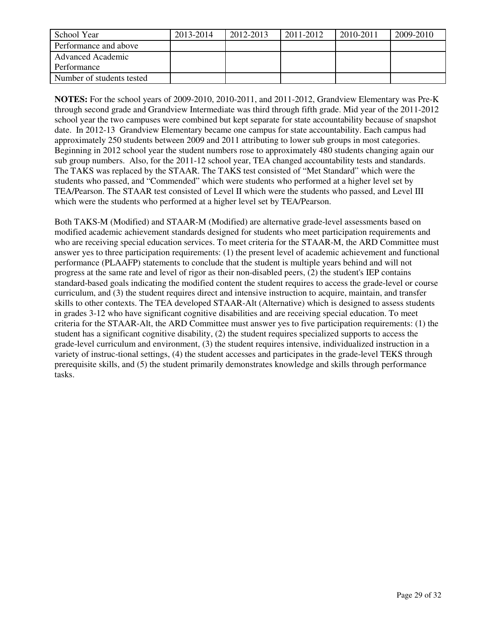| School Year               | 2013-2014 | 2012-2013 | 2011-2012 | 2010-2011 | 2009-2010 |
|---------------------------|-----------|-----------|-----------|-----------|-----------|
| Performance and above     |           |           |           |           |           |
| Advanced Academic         |           |           |           |           |           |
| Performance               |           |           |           |           |           |
| Number of students tested |           |           |           |           |           |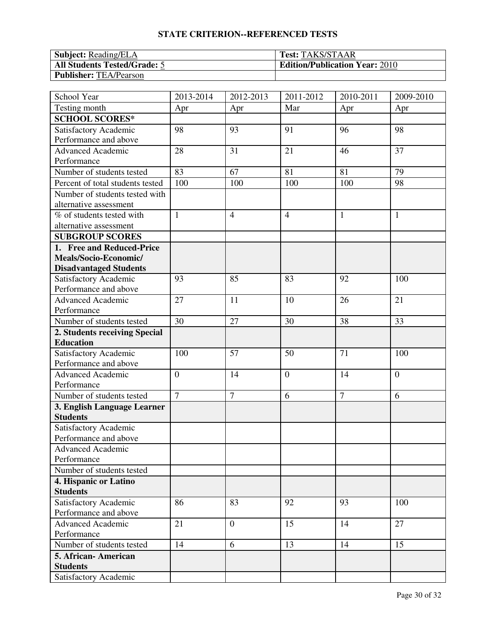| <b>Subject:</b> Reading/ELA         | <b>Test: TAKS/STAAR</b>               |
|-------------------------------------|---------------------------------------|
| <b>All Students Tested/Grade: 5</b> | <b>Edition/Publication Year: 2010</b> |
| <b>Publisher: TEA/Pearson</b>       |                                       |

| School Year                      | 2013-2014      | 2012-2013      | 2011-2012      | 2010-2011      | 2009-2010      |
|----------------------------------|----------------|----------------|----------------|----------------|----------------|
| Testing month                    | Apr            | Apr            | Mar            | Apr            | Apr            |
| <b>SCHOOL SCORES*</b>            |                |                |                |                |                |
| Satisfactory Academic            | 98             | 93             | 91             | 96             | 98             |
| Performance and above            |                |                |                |                |                |
| <b>Advanced Academic</b>         | 28             | 31             | 21             | 46             | 37             |
| Performance                      |                |                |                |                |                |
| Number of students tested        | 83             | 67             | 81             | 81             | 79             |
| Percent of total students tested | 100            | 100            | 100            | 100            | 98             |
| Number of students tested with   |                |                |                |                |                |
| alternative assessment           |                |                |                |                |                |
| % of students tested with        | $\mathbf{1}$   | $\overline{4}$ | $\overline{4}$ | $\mathbf{1}$   | $\mathbf{1}$   |
| alternative assessment           |                |                |                |                |                |
| <b>SUBGROUP SCORES</b>           |                |                |                |                |                |
| 1. Free and Reduced-Price        |                |                |                |                |                |
| Meals/Socio-Economic/            |                |                |                |                |                |
| <b>Disadvantaged Students</b>    |                |                |                |                |                |
| Satisfactory Academic            | 93             | 85             | 83             | 92             | 100            |
| Performance and above            |                |                |                |                |                |
| <b>Advanced Academic</b>         | 27             | 11             | 10             | 26             | 21             |
| Performance                      |                |                |                |                |                |
| Number of students tested        | 30             | 27             | 30             | 38             | 33             |
| 2. Students receiving Special    |                |                |                |                |                |
| <b>Education</b>                 |                |                |                |                |                |
| Satisfactory Academic            | 100            | 57             | 50             | 71             | 100            |
| Performance and above            |                |                |                |                |                |
| <b>Advanced Academic</b>         | $\overline{0}$ | 14             | $\overline{0}$ | 14             | $\overline{0}$ |
| Performance                      |                |                |                |                |                |
| Number of students tested        | $\overline{7}$ | $\overline{7}$ | 6              | $\overline{7}$ | 6              |
| 3. English Language Learner      |                |                |                |                |                |
| <b>Students</b>                  |                |                |                |                |                |
| Satisfactory Academic            |                |                |                |                |                |
| Performance and above            |                |                |                |                |                |
| <b>Advanced Academic</b>         |                |                |                |                |                |
| Performance                      |                |                |                |                |                |
| Number of students tested        |                |                |                |                |                |
| 4. Hispanic or Latino            |                |                |                |                |                |
| <b>Students</b>                  |                |                |                |                |                |
| Satisfactory Academic            | 86             | 83             | 92             | 93             | 100            |
| Performance and above            |                |                |                |                |                |
| <b>Advanced Academic</b>         | 21             | $\theta$       | 15             | 14             | 27             |
| Performance                      |                |                |                |                |                |
| Number of students tested        | 14             | 6              | 13             | 14             | 15             |
| 5. African-American              |                |                |                |                |                |
| <b>Students</b>                  |                |                |                |                |                |
| Satisfactory Academic            |                |                |                |                |                |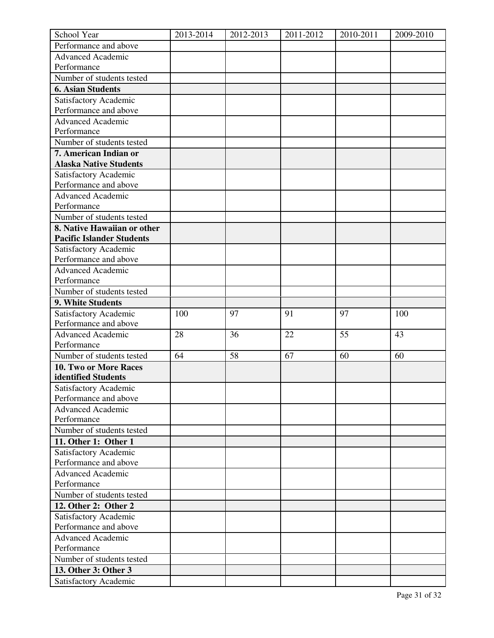| School Year                                       | 2013-2014 | 2012-2013 | 2011-2012 | 2010-2011 | 2009-2010 |
|---------------------------------------------------|-----------|-----------|-----------|-----------|-----------|
| Performance and above                             |           |           |           |           |           |
| <b>Advanced Academic</b>                          |           |           |           |           |           |
| Performance                                       |           |           |           |           |           |
| Number of students tested                         |           |           |           |           |           |
| <b>6. Asian Students</b>                          |           |           |           |           |           |
| Satisfactory Academic                             |           |           |           |           |           |
| Performance and above                             |           |           |           |           |           |
| Advanced Academic                                 |           |           |           |           |           |
| Performance                                       |           |           |           |           |           |
| Number of students tested                         |           |           |           |           |           |
| 7. American Indian or                             |           |           |           |           |           |
| <b>Alaska Native Students</b>                     |           |           |           |           |           |
| Satisfactory Academic                             |           |           |           |           |           |
| Performance and above                             |           |           |           |           |           |
| <b>Advanced Academic</b>                          |           |           |           |           |           |
| Performance                                       |           |           |           |           |           |
| Number of students tested                         |           |           |           |           |           |
| 8. Native Hawaiian or other                       |           |           |           |           |           |
| <b>Pacific Islander Students</b>                  |           |           |           |           |           |
| Satisfactory Academic                             |           |           |           |           |           |
| Performance and above                             |           |           |           |           |           |
| <b>Advanced Academic</b>                          |           |           |           |           |           |
| Performance                                       |           |           |           |           |           |
| Number of students tested                         |           |           |           |           |           |
| 9. White Students                                 |           |           |           |           |           |
|                                                   |           | 97        | 91        |           |           |
| Satisfactory Academic<br>Performance and above    | 100       |           |           | 97        | 100       |
|                                                   |           |           |           |           |           |
| <b>Advanced Academic</b><br>Performance           | 28        | 36        | 22        | 55        | 43        |
| Number of students tested                         | 64        | 58        | 67        |           |           |
|                                                   |           |           |           | 60        | 60        |
| 10. Two or More Races                             |           |           |           |           |           |
| identified Students                               |           |           |           |           |           |
| Satisfactory Academic                             |           |           |           |           |           |
| Performance and above<br><b>Advanced Academic</b> |           |           |           |           |           |
| Performance                                       |           |           |           |           |           |
|                                                   |           |           |           |           |           |
| Number of students tested                         |           |           |           |           |           |
| 11. Other 1: Other 1                              |           |           |           |           |           |
| Satisfactory Academic                             |           |           |           |           |           |
| Performance and above                             |           |           |           |           |           |
| <b>Advanced Academic</b>                          |           |           |           |           |           |
| Performance                                       |           |           |           |           |           |
| Number of students tested                         |           |           |           |           |           |
| 12. Other 2: Other 2                              |           |           |           |           |           |
| Satisfactory Academic                             |           |           |           |           |           |
| Performance and above                             |           |           |           |           |           |
| <b>Advanced Academic</b>                          |           |           |           |           |           |
| Performance                                       |           |           |           |           |           |
| Number of students tested                         |           |           |           |           |           |
| 13. Other 3: Other 3                              |           |           |           |           |           |
| Satisfactory Academic                             |           |           |           |           |           |